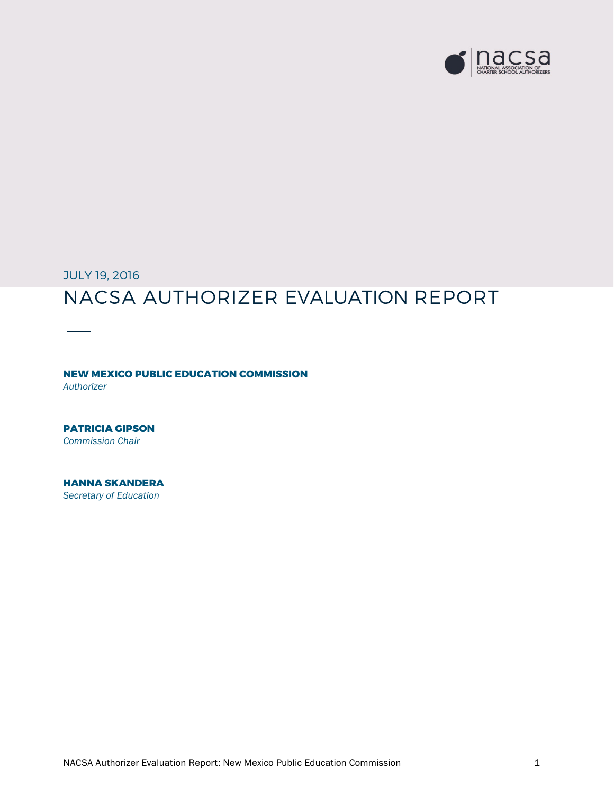

JULY 19, 2016

# NACSA AUTHORIZER EVALUATION REPORT

**NEW MEXICO PUBLIC EDUCATION COMMISSION** *Authorizer*

**PATRICIA GIPSON** *Commission Chair*

**HANNA SKANDERA** *Secretary of Education*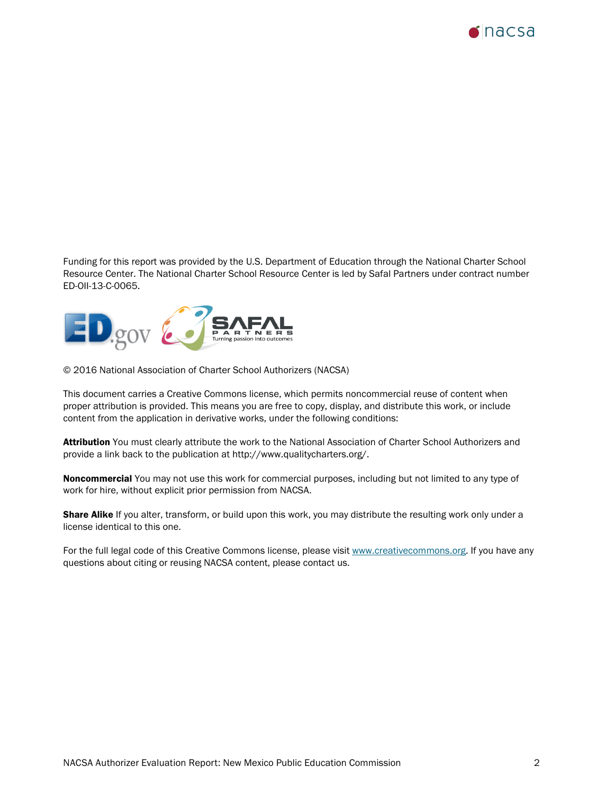

Funding for this report was provided by the U.S. Department of Education through the National Charter School Resource Center. The National Charter School Resource Center is led by Safal Partners under contract number ED-OII-13-C-0065.



© 2016 National Association of Charter School Authorizers (NACSA)

This document carries a Creative Commons license, which permits noncommercial reuse of content when proper attribution is provided. This means you are free to copy, display, and distribute this work, or include content from the application in derivative works, under the following conditions:

Attribution You must clearly attribute the work to the National Association of Charter School Authorizers and provide a link back to the publication at [http://www.qualitycharters.org/.](http://www.qualitycharters.org/)

Noncommercial You may not use this work for commercial purposes, including but not limited to any type of work for hire, without explicit prior permission from NACSA.

Share Alike If you alter, transform, or build upon this work, you may distribute the resulting work only under a license identical to this one.

For the full legal code of this Creative Commons license, please visit [www.creativecommons.org.](http://www.creativecommons.org/) If you have any questions about citing or reusing NACSA content, please contact us.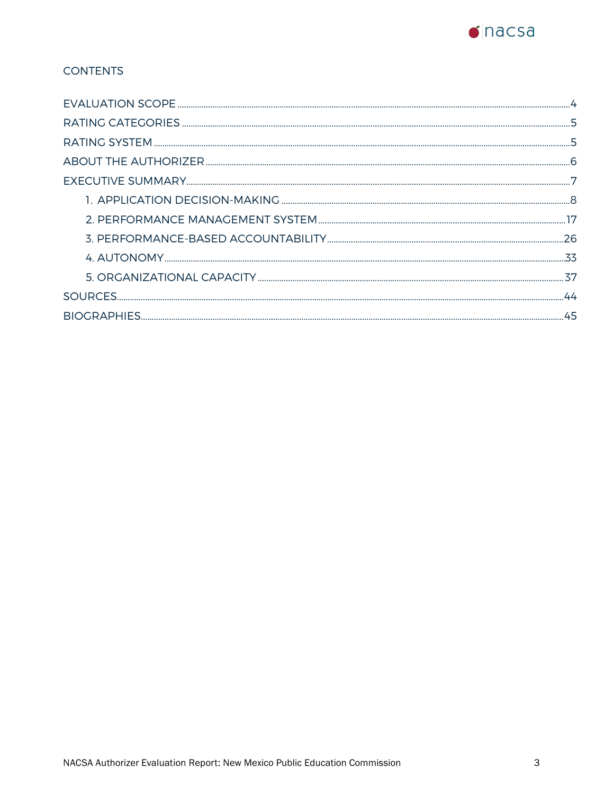

# **CONTENTS**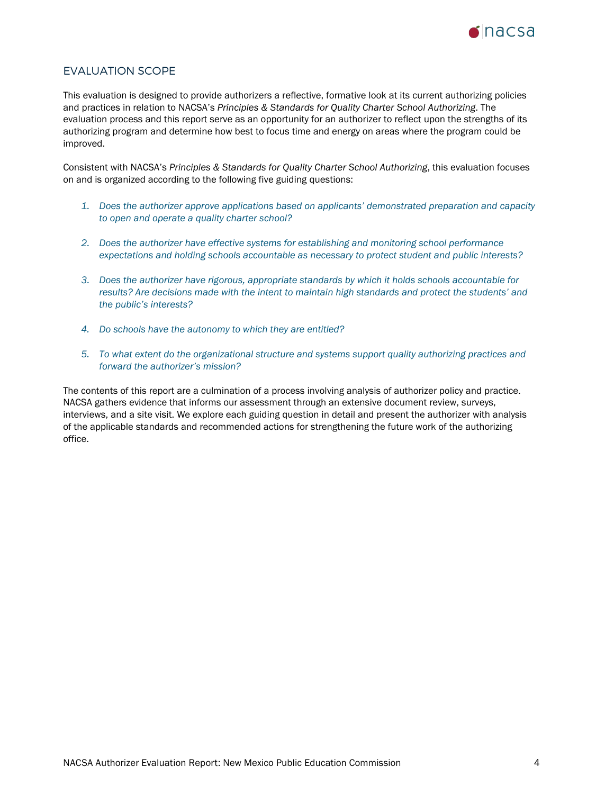

# <span id="page-3-0"></span>EVALUATION SCOPE

This evaluation is designed to provide authorizers a reflective, formative look at its current authorizing policies and practices in relation to NACSA's *Principles & Standards for Quality Charter School Authorizing*. The evaluation process and this report serve as an opportunity for an authorizer to reflect upon the strengths of its authorizing program and determine how best to focus time and energy on areas where the program could be improved.

Consistent with NACSA's *Principles & Standards for Quality Charter School Authorizing*, this evaluation focuses on and is organized according to the following five guiding questions:

- *1. Does the authorizer approve applications based on applicants' demonstrated preparation and capacity to open and operate a quality charter school?*
- *2. Does the authorizer have effective systems for establishing and monitoring school performance expectations and holding schools accountable as necessary to protect student and public interests?*
- *3. Does the authorizer have rigorous, appropriate standards by which it holds schools accountable for results? Are decisions made with the intent to maintain high standards and protect the students' and the public's interests?*
- *4. Do schools have the autonomy to which they are entitled?*
- *5. To what extent do the organizational structure and systems support quality authorizing practices and forward the authorizer's mission?*

The contents of this report are a culmination of a process involving analysis of authorizer policy and practice. NACSA gathers evidence that informs our assessment through an extensive document review, surveys, interviews, and a site visit. We explore each guiding question in detail and present the authorizer with analysis of the applicable standards and recommended actions for strengthening the future work of the authorizing office.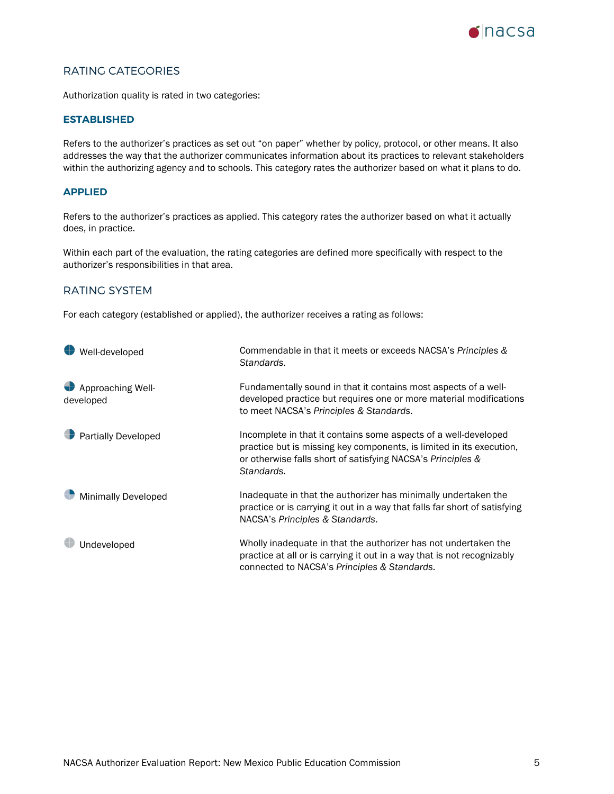

# <span id="page-4-0"></span>RATING CATEGORIES

Authorization quality is rated in two categories:

#### **ESTABLISHED**

Refers to the authorizer's practices as set out "on paper" whether by policy, protocol, or other means. It also addresses the way that the authorizer communicates information about its practices to relevant stakeholders within the authorizing agency and to schools. This category rates the authorizer based on what it plans to do.

### **APPLIED**

Refers to the authorizer's practices as applied. This category rates the authorizer based on what it actually does, in practice.

Within each part of the evaluation, the rating categories are defined more specifically with respect to the authorizer's responsibilities in that area.

### <span id="page-4-1"></span>RATING SYSTEM

For each category (established or applied), the authorizer receives a rating as follows:

| Well-developed                 | Commendable in that it meets or exceeds NACSA's Principles &<br>Standards.                                                                                                                                           |
|--------------------------------|----------------------------------------------------------------------------------------------------------------------------------------------------------------------------------------------------------------------|
| Approaching Well-<br>developed | Fundamentally sound in that it contains most aspects of a well-<br>developed practice but requires one or more material modifications<br>to meet NACSA's Principles & Standards.                                     |
| <b>Partially Developed</b>     | Incomplete in that it contains some aspects of a well-developed<br>practice but is missing key components, is limited in its execution,<br>or otherwise falls short of satisfying NACSA's Principles &<br>Standards. |
| <b>Minimally Developed</b>     | Inadequate in that the authorizer has minimally undertaken the<br>practice or is carrying it out in a way that falls far short of satisfying<br>NACSA's Principles & Standards.                                      |
| Undeveloped                    | Wholly inadequate in that the authorizer has not undertaken the<br>practice at all or is carrying it out in a way that is not recognizably<br>connected to NACSA's Principles & Standards.                           |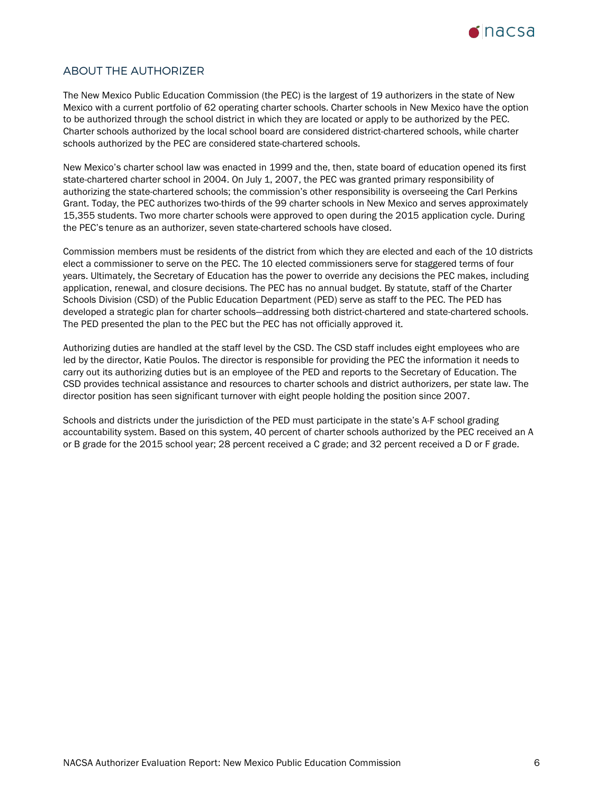

# <span id="page-5-0"></span>ABOUT THE AUTHORIZER

The New Mexico Public Education Commission (the PEC) is the largest of 19 authorizers in the state of New Mexico with a current portfolio of 62 operating charter schools. Charter schools in New Mexico have the option to be authorized through the school district in which they are located or apply to be authorized by the PEC. Charter schools authorized by the local school board are considered district-chartered schools, while charter schools authorized by the PEC are considered state-chartered schools.

New Mexico's charter school law was enacted in 1999 and the, then, state board of education opened its first state-chartered charter school in 2004. On July 1, 2007, the PEC was granted primary responsibility of authorizing the state-chartered schools; the commission's other responsibility is overseeing the Carl Perkins Grant. Today, the PEC authorizes two-thirds of the 99 charter schools in New Mexico and serves approximately 15,355 students. Two more charter schools were approved to open during the 2015 application cycle. During the PEC's tenure as an authorizer, seven state-chartered schools have closed.

Commission members must be residents of the district from which they are elected and each of the 10 districts elect a commissioner to serve on the PEC. The 10 elected commissioners serve for staggered terms of four years. Ultimately, the Secretary of Education has the power to override any decisions the PEC makes, including application, renewal, and closure decisions. The PEC has no annual budget. By statute, staff of the Charter Schools Division (CSD) of the Public Education Department (PED) serve as staff to the PEC. The PED has developed a strategic plan for charter schools—addressing both district-chartered and state-chartered schools. The PED presented the plan to the PEC but the PEC has not officially approved it.

Authorizing duties are handled at the staff level by the CSD. The CSD staff includes eight employees who are led by the director, Katie Poulos. The director is responsible for providing the PEC the information it needs to carry out its authorizing duties but is an employee of the PED and reports to the Secretary of Education. The CSD provides technical assistance and resources to charter schools and district authorizers, per state law. The director position has seen significant turnover with eight people holding the position since 2007.

<span id="page-5-1"></span>Schools and districts under the jurisdiction of the PED must participate in the state's A-F school grading accountability system. Based on this system, 40 percent of charter schools authorized by the PEC received an A or B grade for the 2015 school year; 28 percent received a C grade; and 32 percent received a D or F grade.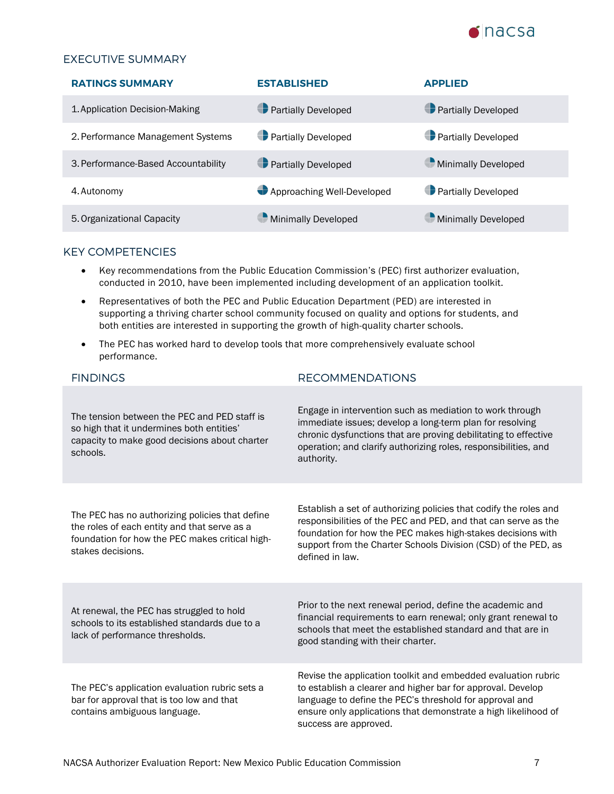

# EXECUTIVE SUMMARY

| <b>RATINGS SUMMARY</b>              | <b>ESTABLISHED</b>         | <b>APPLIED</b>             |
|-------------------------------------|----------------------------|----------------------------|
| 1. Application Decision-Making      | <b>Partially Developed</b> | <b>Partially Developed</b> |
| 2. Performance Management Systems   | <b>Partially Developed</b> | <b>Partially Developed</b> |
| 3. Performance-Based Accountability | <b>Partially Developed</b> | Minimally Developed        |
| 4. Autonomy                         | Approaching Well-Developed | <b>Partially Developed</b> |
| 5. Organizational Capacity          | Minimally Developed        | Minimally Developed        |

# KEY COMPETENCIES

- Key recommendations from the Public Education Commission's (PEC) first authorizer evaluation, conducted in 2010, have been implemented including development of an application toolkit.
- Representatives of both the PEC and Public Education Department (PED) are interested in supporting a thriving charter school community focused on quality and options for students, and both entities are interested in supporting the growth of high-quality charter schools.
- The PEC has worked hard to develop tools that more comprehensively evaluate school performance.

| <b>FINDINGS</b>                                                                                                                                                         | <b>RECOMMENDATIONS</b>                                                                                                                                                                                                                                                                  |
|-------------------------------------------------------------------------------------------------------------------------------------------------------------------------|-----------------------------------------------------------------------------------------------------------------------------------------------------------------------------------------------------------------------------------------------------------------------------------------|
| The tension between the PEC and PED staff is<br>so high that it undermines both entities'<br>capacity to make good decisions about charter<br>schools.                  | Engage in intervention such as mediation to work through<br>immediate issues; develop a long-term plan for resolving<br>chronic dysfunctions that are proving debilitating to effective<br>operation; and clarify authorizing roles, responsibilities, and<br>authority.                |
| The PEC has no authorizing policies that define<br>the roles of each entity and that serve as a<br>foundation for how the PEC makes critical high-<br>stakes decisions. | Establish a set of authorizing policies that codify the roles and<br>responsibilities of the PEC and PED, and that can serve as the<br>foundation for how the PEC makes high-stakes decisions with<br>support from the Charter Schools Division (CSD) of the PED, as<br>defined in law. |
| At renewal, the PEC has struggled to hold<br>schools to its established standards due to a<br>lack of performance thresholds.                                           | Prior to the next renewal period, define the academic and<br>financial requirements to earn renewal; only grant renewal to<br>schools that meet the established standard and that are in<br>good standing with their charter.                                                           |
| The PEC's application evaluation rubric sets a<br>bar for approval that is too low and that<br>contains ambiguous language.                                             | Revise the application toolkit and embedded evaluation rubric<br>to establish a clearer and higher bar for approval. Develop<br>language to define the PEC's threshold for approval and<br>ensure only applications that demonstrate a high likelihood of<br>success are approved.      |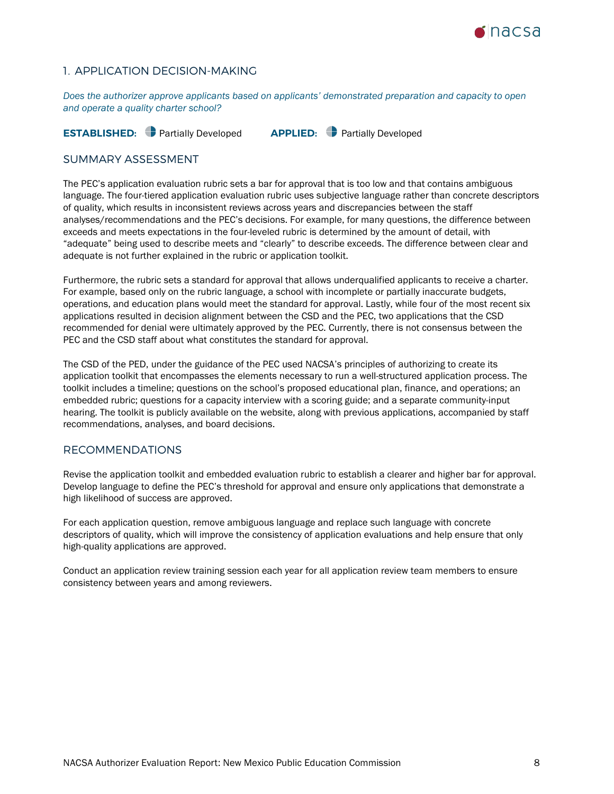

# <span id="page-7-0"></span>1. APPLICATION DECISION-MAKING

*Does the authorizer approve applicants based on applicants' demonstrated preparation and capacity to open and operate a quality charter school?*

**ESTABLISHED:** Partially Developed **APPLIED:** Partially Developed

## SUMMARY ASSESSMENT

The PEC's application evaluation rubric sets a bar for approval that is too low and that contains ambiguous language. The four-tiered application evaluation rubric uses subjective language rather than concrete descriptors of quality, which results in inconsistent reviews across years and discrepancies between the staff analyses/recommendations and the PEC's decisions. For example, for many questions, the difference between exceeds and meets expectations in the four-leveled rubric is determined by the amount of detail, with "adequate" being used to describe meets and "clearly" to describe exceeds. The difference between clear and adequate is not further explained in the rubric or application toolkit.

Furthermore, the rubric sets a standard for approval that allows underqualified applicants to receive a charter. For example, based only on the rubric language, a school with incomplete or partially inaccurate budgets, operations, and education plans would meet the standard for approval. Lastly, while four of the most recent six applications resulted in decision alignment between the CSD and the PEC, two applications that the CSD recommended for denial were ultimately approved by the PEC. Currently, there is not consensus between the PEC and the CSD staff about what constitutes the standard for approval.

The CSD of the PED, under the guidance of the PEC used NACSA's principles of authorizing to create its application toolkit that encompasses the elements necessary to run a well-structured application process. The toolkit includes a timeline; questions on the school's proposed educational plan, finance, and operations; an embedded rubric; questions for a capacity interview with a scoring guide; and a separate community-input hearing. The toolkit is publicly available on the website, along with previous applications, accompanied by staff recommendations, analyses, and board decisions.

### RECOMMENDATIONS

Revise the application toolkit and embedded evaluation rubric to establish a clearer and higher bar for approval. Develop language to define the PEC's threshold for approval and ensure only applications that demonstrate a high likelihood of success are approved.

For each application question, remove ambiguous language and replace such language with concrete descriptors of quality, which will improve the consistency of application evaluations and help ensure that only high-quality applications are approved.

Conduct an application review training session each year for all application review team members to ensure consistency between years and among reviewers.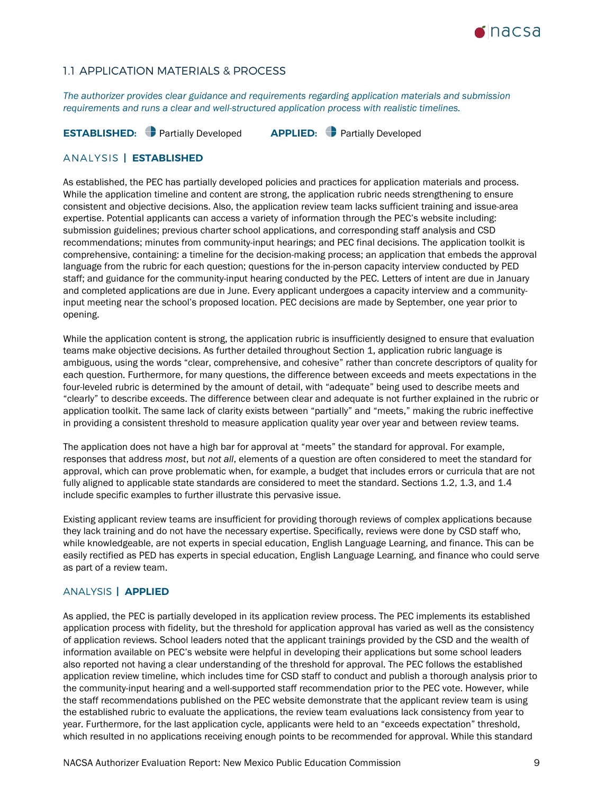

# 1.1 APPLICATION MATERIALS & PROCESS

*The authorizer provides clear guidance and requirements regarding application materials and submission requirements and runs a clear and well-structured application process with realistic timelines.* 

**ESTABLISHED:** Partially Developed **APPLIED:** Partially Developed

### ANALYSIS **| ESTABLISHED**

As established, the PEC has partially developed policies and practices for application materials and process. While the application timeline and content are strong, the application rubric needs strengthening to ensure consistent and objective decisions. Also, the application review team lacks sufficient training and issue-area expertise. Potential applicants can access a variety of information through the PEC's website including: submission guidelines; previous charter school applications, and corresponding staff analysis and CSD recommendations; minutes from community-input hearings; and PEC final decisions. The application toolkit is comprehensive, containing: a timeline for the decision-making process; an application that embeds the approval language from the rubric for each question; questions for the in-person capacity interview conducted by PED staff; and guidance for the community-input hearing conducted by the PEC. Letters of intent are due in January and completed applications are due in June. Every applicant undergoes a capacity interview and a communityinput meeting near the school's proposed location. PEC decisions are made by September, one year prior to opening.

While the application content is strong, the application rubric is insufficiently designed to ensure that evaluation teams make objective decisions. As further detailed throughout Section 1, application rubric language is ambiguous, using the words "clear, comprehensive, and cohesive" rather than concrete descriptors of quality for each question. Furthermore, for many questions, the difference between exceeds and meets expectations in the four-leveled rubric is determined by the amount of detail, with "adequate" being used to describe meets and "clearly" to describe exceeds. The difference between clear and adequate is not further explained in the rubric or application toolkit. The same lack of clarity exists between "partially" and "meets," making the rubric ineffective in providing a consistent threshold to measure application quality year over year and between review teams.

The application does not have a high bar for approval at "meets" the standard for approval. For example, responses that address *most*, but *not all*, elements of a question are often considered to meet the standard for approval, which can prove problematic when, for example, a budget that includes errors or curricula that are not fully aligned to applicable state standards are considered to meet the standard. Sections 1.2, 1.3, and 1.4 include specific examples to further illustrate this pervasive issue.

Existing applicant review teams are insufficient for providing thorough reviews of complex applications because they lack training and do not have the necessary expertise. Specifically, reviews were done by CSD staff who, while knowledgeable, are not experts in special education, English Language Learning, and finance. This can be easily rectified as PED has experts in special education, English Language Learning, and finance who could serve as part of a review team.

### ANALYSIS **| APPLIED**

As applied, the PEC is partially developed in its application review process. The PEC implements its established application process with fidelity, but the threshold for application approval has varied as well as the consistency of application reviews. School leaders noted that the applicant trainings provided by the CSD and the wealth of information available on PEC's website were helpful in developing their applications but some school leaders also reported not having a clear understanding of the threshold for approval. The PEC follows the established application review timeline, which includes time for CSD staff to conduct and publish a thorough analysis prior to the community-input hearing and a well-supported staff recommendation prior to the PEC vote. However, while the staff recommendations published on the PEC website demonstrate that the applicant review team is using the established rubric to evaluate the applications, the review team evaluations lack consistency from year to year. Furthermore, for the last application cycle, applicants were held to an "exceeds expectation" threshold, which resulted in no applications receiving enough points to be recommended for approval. While this standard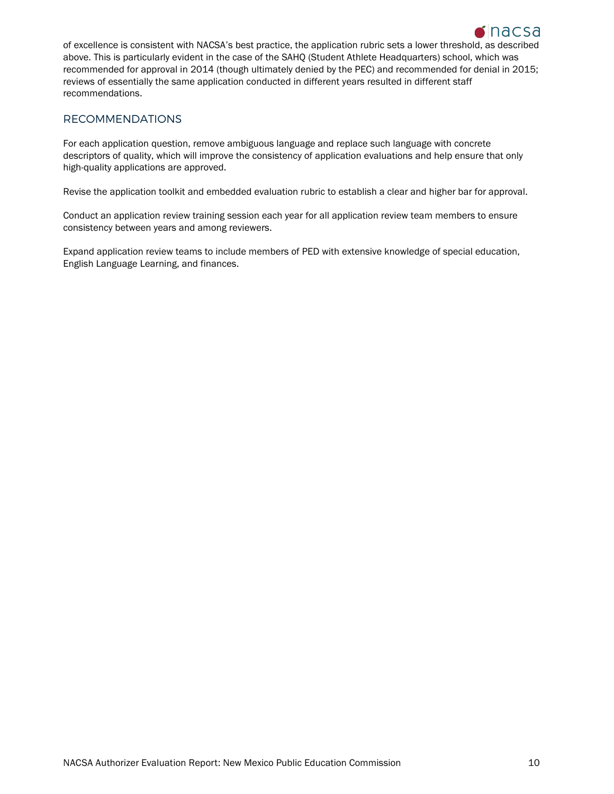

of excellence is consistent with NACSA's best practice, the application rubric sets a lower threshold, as described above. This is particularly evident in the case of the SAHQ (Student Athlete Headquarters) school, which was recommended for approval in 2014 (though ultimately denied by the PEC) and recommended for denial in 2015; reviews of essentially the same application conducted in different years resulted in different staff recommendations.

# RECOMMENDATIONS

For each application question, remove ambiguous language and replace such language with concrete descriptors of quality, which will improve the consistency of application evaluations and help ensure that only high-quality applications are approved.

Revise the application toolkit and embedded evaluation rubric to establish a clear and higher bar for approval.

Conduct an application review training session each year for all application review team members to ensure consistency between years and among reviewers.

Expand application review teams to include members of PED with extensive knowledge of special education, English Language Learning, and finances.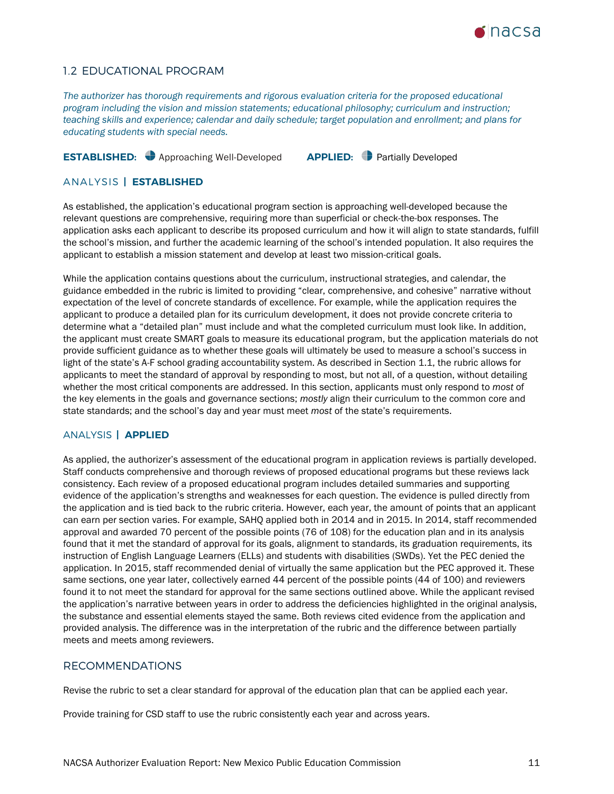

## 1.2 EDUCATIONAL PROGRAM

*The authorizer has thorough requirements and rigorous evaluation criteria for the proposed educational program including the vision and mission statements; educational philosophy; curriculum and instruction; teaching skills and experience; calendar and daily schedule; target population and enrollment; and plans for educating students with special needs.*

# **ESTABLISHED:** Approaching Well-Developed **APPLIED:** Partially Developed

### ANALYSIS **| ESTABLISHED**

As established, the application's educational program section is approaching well-developed because the relevant questions are comprehensive, requiring more than superficial or check-the-box responses. The application asks each applicant to describe its proposed curriculum and how it will align to state standards, fulfill the school's mission, and further the academic learning of the school's intended population. It also requires the applicant to establish a mission statement and develop at least two mission-critical goals.

While the application contains questions about the curriculum, instructional strategies, and calendar, the guidance embedded in the rubric is limited to providing "clear, comprehensive, and cohesive" narrative without expectation of the level of concrete standards of excellence. For example, while the application requires the applicant to produce a detailed plan for its curriculum development, it does not provide concrete criteria to determine what a "detailed plan" must include and what the completed curriculum must look like. In addition, the applicant must create SMART goals to measure its educational program, but the application materials do not provide sufficient guidance as to whether these goals will ultimately be used to measure a school's success in light of the state's A-F school grading accountability system. As described in Section 1.1, the rubric allows for applicants to meet the standard of approval by responding to most, but not all, of a question, without detailing whether the most critical components are addressed. In this section, applicants must only respond to *most* of the key elements in the goals and governance sections; *mostly* align their curriculum to the common core and state standards; and the school's day and year must meet *most* of the state's requirements.

### ANALYSIS **| APPLIED**

As applied, the authorizer's assessment of the educational program in application reviews is partially developed. Staff conducts comprehensive and thorough reviews of proposed educational programs but these reviews lack consistency. Each review of a proposed educational program includes detailed summaries and supporting evidence of the application's strengths and weaknesses for each question. The evidence is pulled directly from the application and is tied back to the rubric criteria. However, each year, the amount of points that an applicant can earn per section varies. For example, SAHQ applied both in 2014 and in 2015. In 2014, staff recommended approval and awarded 70 percent of the possible points (76 of 108) for the education plan and in its analysis found that it met the standard of approval for its goals, alignment to standards, its graduation requirements, its instruction of English Language Learners (ELLs) and students with disabilities (SWDs). Yet the PEC denied the application. In 2015, staff recommended denial of virtually the same application but the PEC approved it. These same sections, one year later, collectively earned 44 percent of the possible points (44 of 100) and reviewers found it to not meet the standard for approval for the same sections outlined above. While the applicant revised the application's narrative between years in order to address the deficiencies highlighted in the original analysis, the substance and essential elements stayed the same. Both reviews cited evidence from the application and provided analysis. The difference was in the interpretation of the rubric and the difference between partially meets and meets among reviewers.

### RECOMMENDATIONS

Revise the rubric to set a clear standard for approval of the education plan that can be applied each year.

Provide training for CSD staff to use the rubric consistently each year and across years.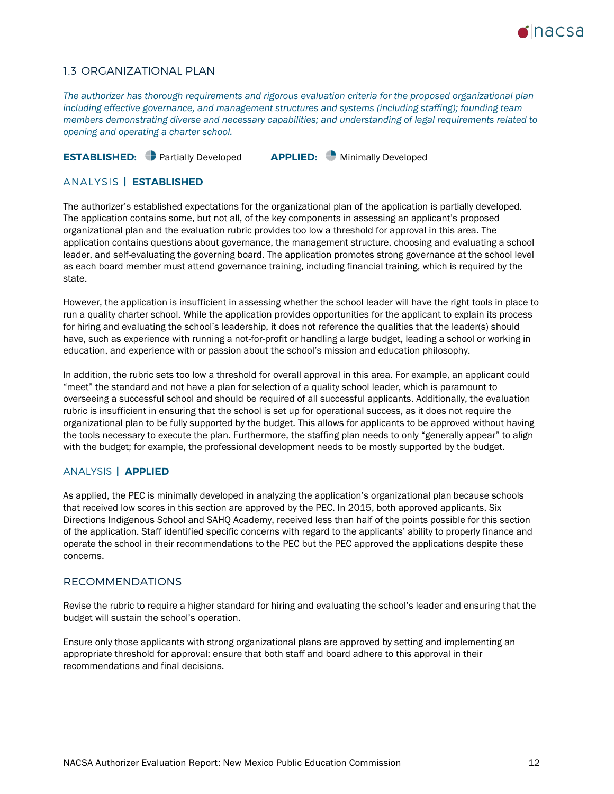

# 1.3 ORGANIZATIONAL PLAN

*The authorizer has thorough requirements and rigorous evaluation criteria for the proposed organizational plan including effective governance, and management structures and systems (including staffing); founding team members demonstrating diverse and necessary capabilities; and understanding of legal requirements related to opening and operating a charter school.*

# **ESTABLISHED:** Partially Developed **APPLIED:** Minimally Developed

### ANALYSIS **| ESTABLISHED**

The authorizer's established expectations for the organizational plan of the application is partially developed. The application contains some, but not all, of the key components in assessing an applicant's proposed organizational plan and the evaluation rubric provides too low a threshold for approval in this area. The application contains questions about governance, the management structure, choosing and evaluating a school leader, and self-evaluating the governing board. The application promotes strong governance at the school level as each board member must attend governance training, including financial training, which is required by the state.

However, the application is insufficient in assessing whether the school leader will have the right tools in place to run a quality charter school. While the application provides opportunities for the applicant to explain its process for hiring and evaluating the school's leadership, it does not reference the qualities that the leader(s) should have, such as experience with running a not-for-profit or handling a large budget, leading a school or working in education, and experience with or passion about the school's mission and education philosophy.

In addition, the rubric sets too low a threshold for overall approval in this area. For example, an applicant could "meet" the standard and not have a plan for selection of a quality school leader, which is paramount to overseeing a successful school and should be required of all successful applicants. Additionally, the evaluation rubric is insufficient in ensuring that the school is set up for operational success, as it does not require the organizational plan to be fully supported by the budget. This allows for applicants to be approved without having the tools necessary to execute the plan. Furthermore, the staffing plan needs to only "generally appear" to align with the budget; for example, the professional development needs to be mostly supported by the budget.

### ANALYSIS **| APPLIED**

As applied, the PEC is minimally developed in analyzing the application's organizational plan because schools that received low scores in this section are approved by the PEC. In 2015, both approved applicants, Six Directions Indigenous School and SAHQ Academy, received less than half of the points possible for this section of the application. Staff identified specific concerns with regard to the applicants' ability to properly finance and operate the school in their recommendations to the PEC but the PEC approved the applications despite these concerns.

### RECOMMENDATIONS

Revise the rubric to require a higher standard for hiring and evaluating the school's leader and ensuring that the budget will sustain the school's operation.

Ensure only those applicants with strong organizational plans are approved by setting and implementing an appropriate threshold for approval; ensure that both staff and board adhere to this approval in their recommendations and final decisions.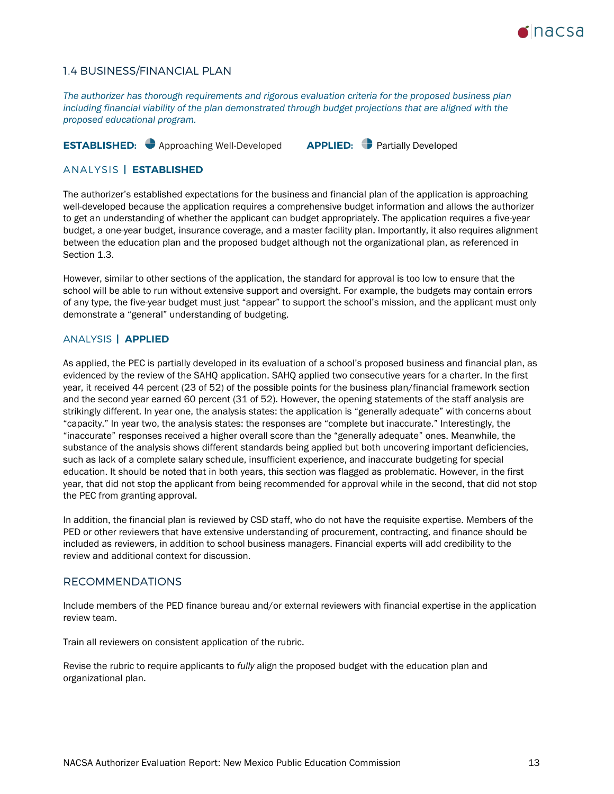

### 1.4 BUSINESS/FINANCIAL PLAN

*The authorizer has thorough requirements and rigorous evaluation criteria for the proposed business plan including financial viability of the plan demonstrated through budget projections that are aligned with the proposed educational program.*

# **ESTABLISHED:** Approaching Well-Developed **APPLIED:** Partially Developed

### ANALYSIS **| ESTABLISHED**

The authorizer's established expectations for the business and financial plan of the application is approaching well-developed because the application requires a comprehensive budget information and allows the authorizer to get an understanding of whether the applicant can budget appropriately. The application requires a five-year budget, a one-year budget, insurance coverage, and a master facility plan. Importantly, it also requires alignment between the education plan and the proposed budget although not the organizational plan, as referenced in Section 1.3.

However, similar to other sections of the application, the standard for approval is too low to ensure that the school will be able to run without extensive support and oversight. For example, the budgets may contain errors of any type, the five-year budget must just "appear" to support the school's mission, and the applicant must only demonstrate a "general" understanding of budgeting.

### ANALYSIS **| APPLIED**

As applied, the PEC is partially developed in its evaluation of a school's proposed business and financial plan, as evidenced by the review of the SAHQ application. SAHQ applied two consecutive years for a charter. In the first year, it received 44 percent (23 of 52) of the possible points for the business plan/financial framework section and the second year earned 60 percent (31 of 52). However, the opening statements of the staff analysis are strikingly different. In year one, the analysis states: the application is "generally adequate" with concerns about "capacity." In year two, the analysis states: the responses are "complete but inaccurate." Interestingly, the "inaccurate" responses received a higher overall score than the "generally adequate" ones. Meanwhile, the substance of the analysis shows different standards being applied but both uncovering important deficiencies, such as lack of a complete salary schedule, insufficient experience, and inaccurate budgeting for special education. It should be noted that in both years, this section was flagged as problematic. However, in the first year, that did not stop the applicant from being recommended for approval while in the second, that did not stop the PEC from granting approval.

In addition, the financial plan is reviewed by CSD staff, who do not have the requisite expertise. Members of the PED or other reviewers that have extensive understanding of procurement, contracting, and finance should be included as reviewers, in addition to school business managers. Financial experts will add credibility to the review and additional context for discussion.

### RECOMMENDATIONS

Include members of the PED finance bureau and/or external reviewers with financial expertise in the application review team.

Train all reviewers on consistent application of the rubric.

Revise the rubric to require applicants to *fully* align the proposed budget with the education plan and organizational plan.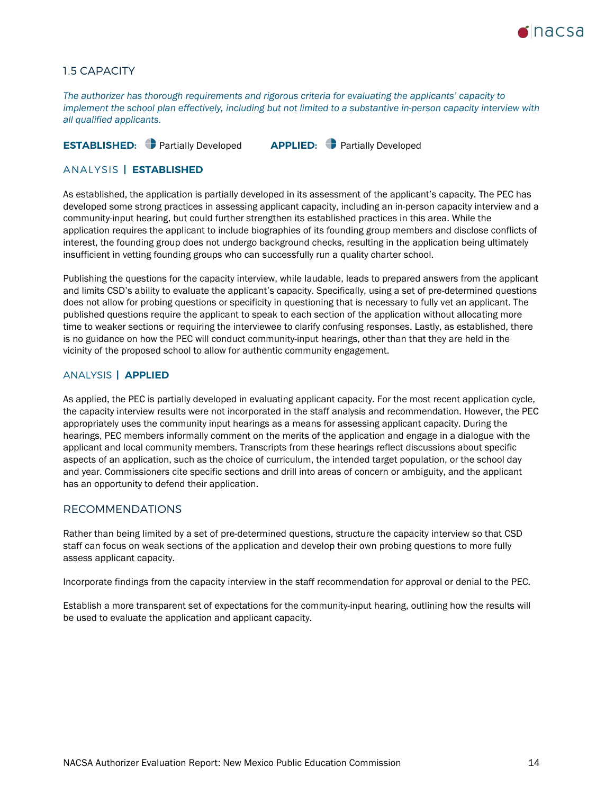

# 1.5 CAPACITY

*The authorizer has thorough requirements and rigorous criteria for evaluating the applicants' capacity to implement the school plan effectively, including but not limited to a substantive in-person capacity interview with all qualified applicants.*

# **ESTABLISHED:** Partially Developed **APPLIED:** Partially Developed

### ANALYSIS **| ESTABLISHED**

As established, the application is partially developed in its assessment of the applicant's capacity. The PEC has developed some strong practices in assessing applicant capacity, including an in-person capacity interview and a community-input hearing, but could further strengthen its established practices in this area. While the application requires the applicant to include biographies of its founding group members and disclose conflicts of interest, the founding group does not undergo background checks, resulting in the application being ultimately insufficient in vetting founding groups who can successfully run a quality charter school.

Publishing the questions for the capacity interview, while laudable, leads to prepared answers from the applicant and limits CSD's ability to evaluate the applicant's capacity. Specifically, using a set of pre-determined questions does not allow for probing questions or specificity in questioning that is necessary to fully vet an applicant. The published questions require the applicant to speak to each section of the application without allocating more time to weaker sections or requiring the interviewee to clarify confusing responses. Lastly, as established, there is no guidance on how the PEC will conduct community-input hearings, other than that they are held in the vicinity of the proposed school to allow for authentic community engagement.

### ANALYSIS **| APPLIED**

As applied, the PEC is partially developed in evaluating applicant capacity. For the most recent application cycle, the capacity interview results were not incorporated in the staff analysis and recommendation. However, the PEC appropriately uses the community input hearings as a means for assessing applicant capacity. During the hearings, PEC members informally comment on the merits of the application and engage in a dialogue with the applicant and local community members. Transcripts from these hearings reflect discussions about specific aspects of an application, such as the choice of curriculum, the intended target population, or the school day and year. Commissioners cite specific sections and drill into areas of concern or ambiguity, and the applicant has an opportunity to defend their application.

### RECOMMENDATIONS

Rather than being limited by a set of pre-determined questions, structure the capacity interview so that CSD staff can focus on weak sections of the application and develop their own probing questions to more fully assess applicant capacity.

Incorporate findings from the capacity interview in the staff recommendation for approval or denial to the PEC.

Establish a more transparent set of expectations for the community-input hearing, outlining how the results will be used to evaluate the application and applicant capacity.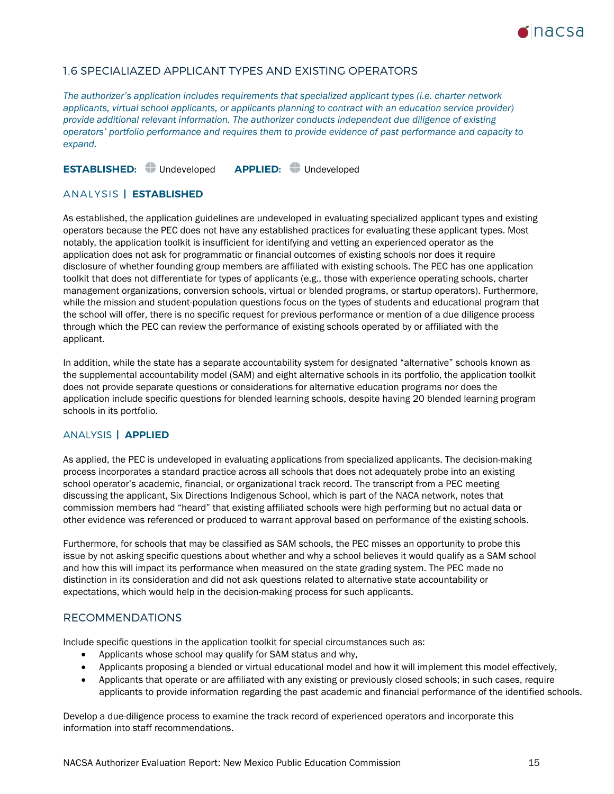

# 1.6 SPECIALIAZED APPLICANT TYPES AND EXISTING OPERATORS

*The authorizer's application includes requirements that specialized applicant types (i.e. charter network applicants, virtual school applicants, or applicants planning to contract with an education service provider) provide additional relevant information. The authorizer conducts independent due diligence of existing operators' portfolio performance and requires them to provide evidence of past performance and capacity to expand.*

**ESTABLISHED:** Undeveloped **APPLIED:** Undeveloped

### ANALYSIS **| ESTABLISHED**

As established, the application guidelines are undeveloped in evaluating specialized applicant types and existing operators because the PEC does not have any established practices for evaluating these applicant types. Most notably, the application toolkit is insufficient for identifying and vetting an experienced operator as the application does not ask for programmatic or financial outcomes of existing schools nor does it require disclosure of whether founding group members are affiliated with existing schools. The PEC has one application toolkit that does not differentiate for types of applicants (e.g., those with experience operating schools, charter management organizations, conversion schools, virtual or blended programs, or startup operators). Furthermore, while the mission and student-population questions focus on the types of students and educational program that the school will offer, there is no specific request for previous performance or mention of a due diligence process through which the PEC can review the performance of existing schools operated by or affiliated with the applicant.

In addition, while the state has a separate accountability system for designated "alternative" schools known as the supplemental accountability model (SAM) and eight alternative schools in its portfolio, the application toolkit does not provide separate questions or considerations for alternative education programs nor does the application include specific questions for blended learning schools, despite having 20 blended learning program schools in its portfolio.

### ANALYSIS **| APPLIED**

As applied, the PEC is undeveloped in evaluating applications from specialized applicants. The decision-making process incorporates a standard practice across all schools that does not adequately probe into an existing school operator's academic, financial, or organizational track record. The transcript from a PEC meeting discussing the applicant, Six Directions Indigenous School, which is part of the NACA network, notes that commission members had "heard" that existing affiliated schools were high performing but no actual data or other evidence was referenced or produced to warrant approval based on performance of the existing schools.

Furthermore, for schools that may be classified as SAM schools, the PEC misses an opportunity to probe this issue by not asking specific questions about whether and why a school believes it would qualify as a SAM school and how this will impact its performance when measured on the state grading system. The PEC made no distinction in its consideration and did not ask questions related to alternative state accountability or expectations, which would help in the decision-making process for such applicants.

### RECOMMENDATIONS

Include specific questions in the application toolkit for special circumstances such as:

- Applicants whose school may qualify for SAM status and why,
- Applicants proposing a blended or virtual educational model and how it will implement this model effectively,
- Applicants that operate or are affiliated with any existing or previously closed schools; in such cases, require applicants to provide information regarding the past academic and financial performance of the identified schools.

Develop a due-diligence process to examine the track record of experienced operators and incorporate this information into staff recommendations.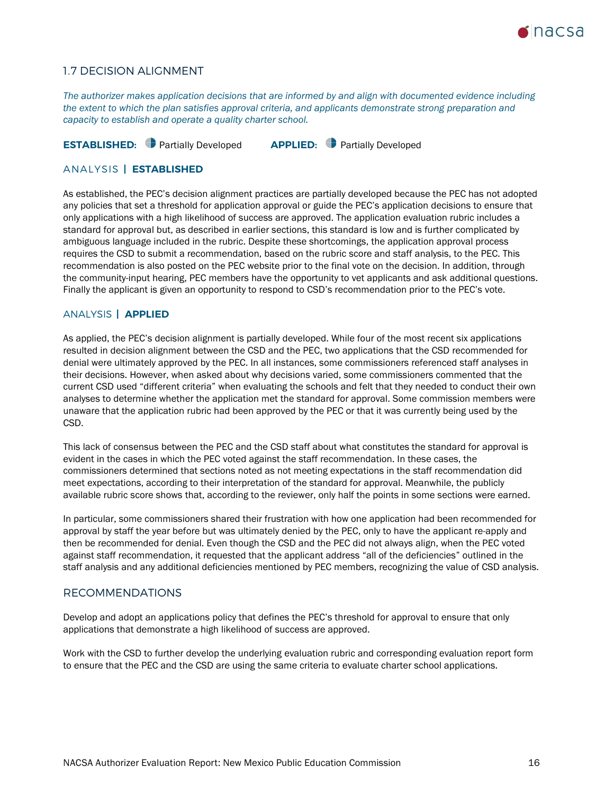

### 1.7 DECISION ALIGNMENT

*The authorizer makes application decisions that are informed by and align with documented evidence including the extent to which the plan satisfies approval criteria, and applicants demonstrate strong preparation and capacity to establish and operate a quality charter school.*

**ESTABLISHED:** Partially Developed **APPLIED:** Partially Developed

### ANALYSIS **| ESTABLISHED**

As established, the PEC's decision alignment practices are partially developed because the PEC has not adopted any policies that set a threshold for application approval or guide the PEC's application decisions to ensure that only applications with a high likelihood of success are approved. The application evaluation rubric includes a standard for approval but, as described in earlier sections, this standard is low and is further complicated by ambiguous language included in the rubric. Despite these shortcomings, the application approval process requires the CSD to submit a recommendation, based on the rubric score and staff analysis, to the PEC. This recommendation is also posted on the PEC website prior to the final vote on the decision. In addition, through the community-input hearing, PEC members have the opportunity to vet applicants and ask additional questions. Finally the applicant is given an opportunity to respond to CSD's recommendation prior to the PEC's vote.

### ANALYSIS **| APPLIED**

As applied, the PEC's decision alignment is partially developed. While four of the most recent six applications resulted in decision alignment between the CSD and the PEC, two applications that the CSD recommended for denial were ultimately approved by the PEC. In all instances, some commissioners referenced staff analyses in their decisions. However, when asked about why decisions varied, some commissioners commented that the current CSD used "different criteria" when evaluating the schools and felt that they needed to conduct their own analyses to determine whether the application met the standard for approval. Some commission members were unaware that the application rubric had been approved by the PEC or that it was currently being used by the CSD.

This lack of consensus between the PEC and the CSD staff about what constitutes the standard for approval is evident in the cases in which the PEC voted against the staff recommendation. In these cases, the commissioners determined that sections noted as not meeting expectations in the staff recommendation did meet expectations, according to their interpretation of the standard for approval. Meanwhile, the publicly available rubric score shows that, according to the reviewer, only half the points in some sections were earned.

In particular, some commissioners shared their frustration with how one application had been recommended for approval by staff the year before but was ultimately denied by the PEC, only to have the applicant re-apply and then be recommended for denial. Even though the CSD and the PEC did not always align, when the PEC voted against staff recommendation, it requested that the applicant address "all of the deficiencies" outlined in the staff analysis and any additional deficiencies mentioned by PEC members, recognizing the value of CSD analysis.

### RECOMMENDATIONS

Develop and adopt an applications policy that defines the PEC's threshold for approval to ensure that only applications that demonstrate a high likelihood of success are approved.

Work with the CSD to further develop the underlying evaluation rubric and corresponding evaluation report form to ensure that the PEC and the CSD are using the same criteria to evaluate charter school applications.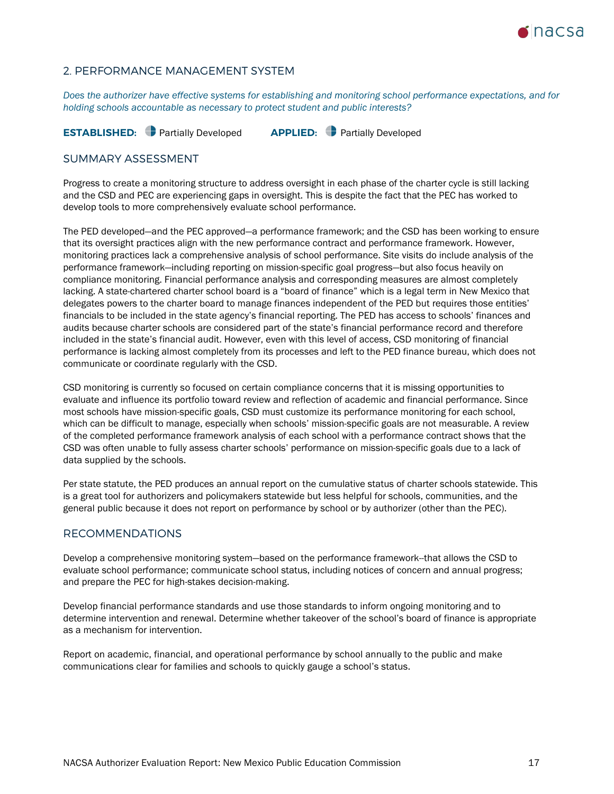

### <span id="page-16-0"></span>2. PERFORMANCE MANAGEMENT SYSTEM

*Does the authorizer have effective systems for establishing and monitoring school performance expectations, and for holding schools accountable as necessary to protect student and public interests?*

**ESTABLISHED:** Partially Developed **APPLIED:** Partially Developed

### SUMMARY ASSESSMENT

Progress to create a monitoring structure to address oversight in each phase of the charter cycle is still lacking and the CSD and PEC are experiencing gaps in oversight. This is despite the fact that the PEC has worked to develop tools to more comprehensively evaluate school performance.

The PED developed—and the PEC approved—a performance framework; and the CSD has been working to ensure that its oversight practices align with the new performance contract and performance framework. However, monitoring practices lack a comprehensive analysis of school performance. Site visits do include analysis of the performance framework—including reporting on mission-specific goal progress—but also focus heavily on compliance monitoring. Financial performance analysis and corresponding measures are almost completely lacking. A state-chartered charter school board is a "board of finance" which is a legal term in New Mexico that delegates powers to the charter board to manage finances independent of the PED but requires those entities' financials to be included in the state agency's financial reporting. The PED has access to schools' finances and audits because charter schools are considered part of the state's financial performance record and therefore included in the state's financial audit. However, even with this level of access, CSD monitoring of financial performance is lacking almost completely from its processes and left to the PED finance bureau, which does not communicate or coordinate regularly with the CSD.

CSD monitoring is currently so focused on certain compliance concerns that it is missing opportunities to evaluate and influence its portfolio toward review and reflection of academic and financial performance. Since most schools have mission-specific goals, CSD must customize its performance monitoring for each school, which can be difficult to manage, especially when schools' mission-specific goals are not measurable. A review of the completed performance framework analysis of each school with a performance contract shows that the CSD was often unable to fully assess charter schools' performance on mission-specific goals due to a lack of data supplied by the schools.

Per state statute, the PED produces an annual report on the cumulative status of charter schools statewide. This is a great tool for authorizers and policymakers statewide but less helpful for schools, communities, and the general public because it does not report on performance by school or by authorizer (other than the PEC).

### RECOMMENDATIONS

Develop a comprehensive monitoring system—based on the performance framework--that allows the CSD to evaluate school performance; communicate school status, including notices of concern and annual progress; and prepare the PEC for high-stakes decision-making.

Develop financial performance standards and use those standards to inform ongoing monitoring and to determine intervention and renewal. Determine whether takeover of the school's board of finance is appropriate as a mechanism for intervention.

Report on academic, financial, and operational performance by school annually to the public and make communications clear for families and schools to quickly gauge a school's status.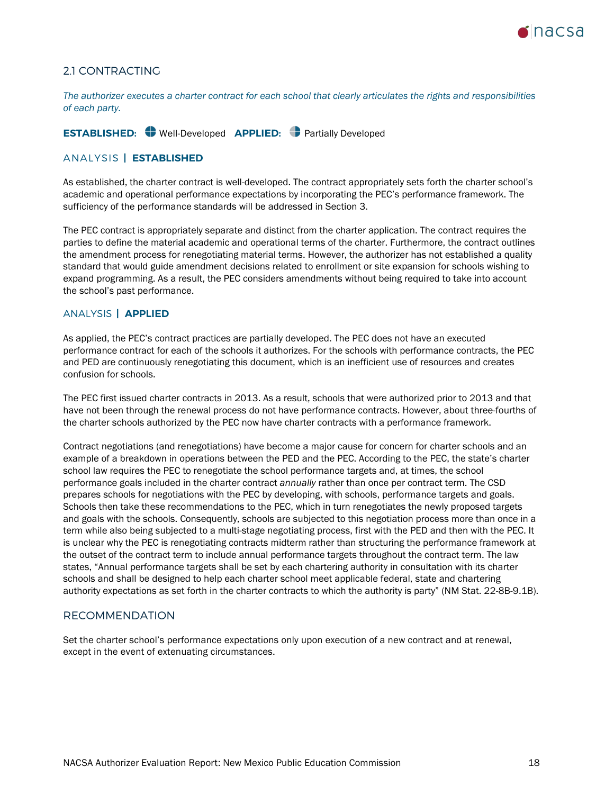

# 2.1 CONTRACTING

*The authorizer executes a charter contract for each school that clearly articulates the rights and responsibilities of each party.*

**ESTABLISHED:** Well-Developed **APPLIED:** Partially Developed

### ANALYSIS **| ESTABLISHED**

As established, the charter contract is well-developed. The contract appropriately sets forth the charter school's academic and operational performance expectations by incorporating the PEC's performance framework. The sufficiency of the performance standards will be addressed in Section 3.

The PEC contract is appropriately separate and distinct from the charter application. The contract requires the parties to define the material academic and operational terms of the charter. Furthermore, the contract outlines the amendment process for renegotiating material terms. However, the authorizer has not established a quality standard that would guide amendment decisions related to enrollment or site expansion for schools wishing to expand programming. As a result, the PEC considers amendments without being required to take into account the school's past performance.

### ANALYSIS **| APPLIED**

As applied, the PEC's contract practices are partially developed. The PEC does not have an executed performance contract for each of the schools it authorizes. For the schools with performance contracts, the PEC and PED are continuously renegotiating this document, which is an inefficient use of resources and creates confusion for schools.

The PEC first issued charter contracts in 2013. As a result, schools that were authorized prior to 2013 and that have not been through the renewal process do not have performance contracts. However, about three-fourths of the charter schools authorized by the PEC now have charter contracts with a performance framework.

Contract negotiations (and renegotiations) have become a major cause for concern for charter schools and an example of a breakdown in operations between the PED and the PEC. According to the PEC, the state's charter school law requires the PEC to renegotiate the school performance targets and, at times, the school performance goals included in the charter contract *annually* rather than once per contract term. The CSD prepares schools for negotiations with the PEC by developing, with schools, performance targets and goals. Schools then take these recommendations to the PEC, which in turn renegotiates the newly proposed targets and goals with the schools. Consequently, schools are subjected to this negotiation process more than once in a term while also being subjected to a multi-stage negotiating process, first with the PED and then with the PEC. It is unclear why the PEC is renegotiating contracts midterm rather than structuring the performance framework at the outset of the contract term to include annual performance targets throughout the contract term. The law states, "Annual performance targets shall be set by each chartering authority in consultation with its charter schools and shall be designed to help each charter school meet applicable federal, state and chartering authority expectations as set forth in the charter contracts to which the authority is party" (NM Stat. 22-8B-9.1B).

### RECOMMENDATION

Set the charter school's performance expectations only upon execution of a new contract and at renewal, except in the event of extenuating circumstances.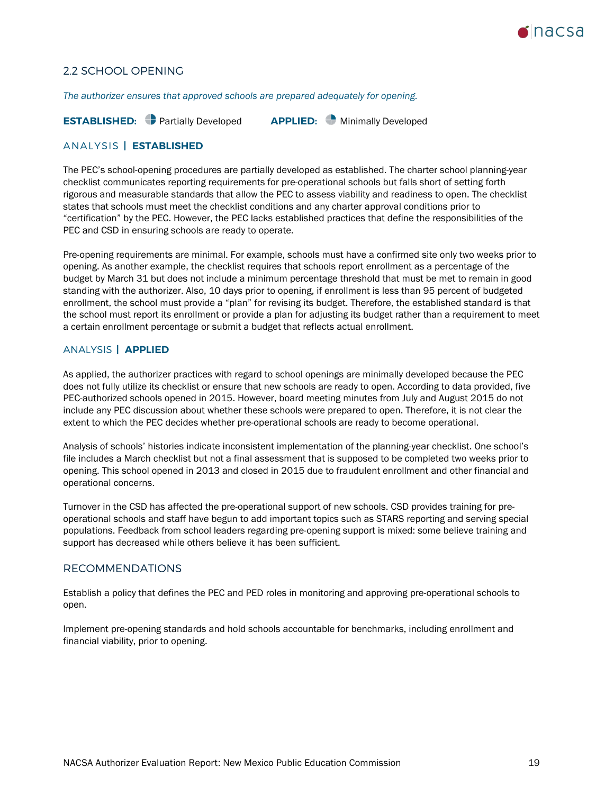

# 2.2 SCHOOL OPENING

*The authorizer ensures that approved schools are prepared adequately for opening.*

**ESTABLISHED:** Partially Developed **APPLIED:** Minimally Developed

### ANALYSIS **| ESTABLISHED**

The PEC's school-opening procedures are partially developed as established. The charter school planning-year checklist communicates reporting requirements for pre-operational schools but falls short of setting forth rigorous and measurable standards that allow the PEC to assess viability and readiness to open. The checklist states that schools must meet the checklist conditions and any charter approval conditions prior to "certification" by the PEC. However, the PEC lacks established practices that define the responsibilities of the PEC and CSD in ensuring schools are ready to operate.

Pre-opening requirements are minimal. For example, schools must have a confirmed site only two weeks prior to opening. As another example, the checklist requires that schools report enrollment as a percentage of the budget by March 31 but does not include a minimum percentage threshold that must be met to remain in good standing with the authorizer. Also, 10 days prior to opening, if enrollment is less than 95 percent of budgeted enrollment, the school must provide a "plan" for revising its budget. Therefore, the established standard is that the school must report its enrollment or provide a plan for adjusting its budget rather than a requirement to meet a certain enrollment percentage or submit a budget that reflects actual enrollment.

### ANALYSIS **| APPLIED**

As applied, the authorizer practices with regard to school openings are minimally developed because the PEC does not fully utilize its checklist or ensure that new schools are ready to open. According to data provided, five PEC-authorized schools opened in 2015. However, board meeting minutes from July and August 2015 do not include any PEC discussion about whether these schools were prepared to open. Therefore, it is not clear the extent to which the PEC decides whether pre-operational schools are ready to become operational.

Analysis of schools' histories indicate inconsistent implementation of the planning-year checklist. One school's file includes a March checklist but not a final assessment that is supposed to be completed two weeks prior to opening. This school opened in 2013 and closed in 2015 due to fraudulent enrollment and other financial and operational concerns.

Turnover in the CSD has affected the pre-operational support of new schools. CSD provides training for preoperational schools and staff have begun to add important topics such as STARS reporting and serving special populations. Feedback from school leaders regarding pre-opening support is mixed: some believe training and support has decreased while others believe it has been sufficient.

### RECOMMENDATIONS

Establish a policy that defines the PEC and PED roles in monitoring and approving pre-operational schools to open.

Implement pre-opening standards and hold schools accountable for benchmarks, including enrollment and financial viability, prior to opening.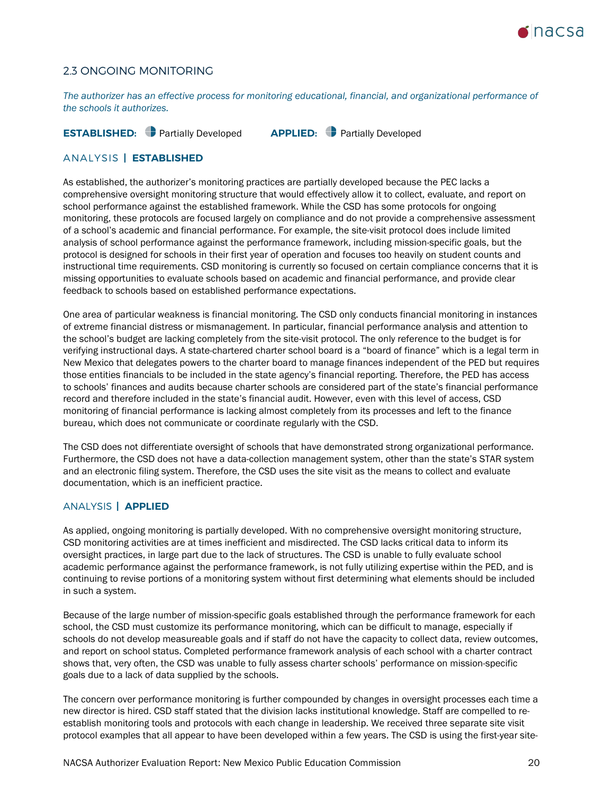

# 2.3 ONGOING MONITORING

*The authorizer has an effective process for monitoring educational, financial, and organizational performance of the schools it authorizes.*

### **ESTABLISHED:** Partially Developed **APPLIED:** Partially Developed

### ANALYSIS **| ESTABLISHED**

As established, the authorizer's monitoring practices are partially developed because the PEC lacks a comprehensive oversight monitoring structure that would effectively allow it to collect, evaluate, and report on school performance against the established framework. While the CSD has some protocols for ongoing monitoring, these protocols are focused largely on compliance and do not provide a comprehensive assessment of a school's academic and financial performance. For example, the site-visit protocol does include limited analysis of school performance against the performance framework, including mission-specific goals, but the protocol is designed for schools in their first year of operation and focuses too heavily on student counts and instructional time requirements. CSD monitoring is currently so focused on certain compliance concerns that it is missing opportunities to evaluate schools based on academic and financial performance, and provide clear feedback to schools based on established performance expectations.

One area of particular weakness is financial monitoring. The CSD only conducts financial monitoring in instances of extreme financial distress or mismanagement. In particular, financial performance analysis and attention to the school's budget are lacking completely from the site-visit protocol. The only reference to the budget is for verifying instructional days. A state-chartered charter school board is a "board of finance" which is a legal term in New Mexico that delegates powers to the charter board to manage finances independent of the PED but requires those entities financials to be included in the state agency's financial reporting. Therefore, the PED has access to schools' finances and audits because charter schools are considered part of the state's financial performance record and therefore included in the state's financial audit. However, even with this level of access, CSD monitoring of financial performance is lacking almost completely from its processes and left to the finance bureau, which does not communicate or coordinate regularly with the CSD.

The CSD does not differentiate oversight of schools that have demonstrated strong organizational performance. Furthermore, the CSD does not have a data-collection management system, other than the state's STAR system and an electronic filing system. Therefore, the CSD uses the site visit as the means to collect and evaluate documentation, which is an inefficient practice.

### ANALYSIS **| APPLIED**

As applied, ongoing monitoring is partially developed. With no comprehensive oversight monitoring structure, CSD monitoring activities are at times inefficient and misdirected. The CSD lacks critical data to inform its oversight practices, in large part due to the lack of structures. The CSD is unable to fully evaluate school academic performance against the performance framework, is not fully utilizing expertise within the PED, and is continuing to revise portions of a monitoring system without first determining what elements should be included in such a system.

Because of the large number of mission-specific goals established through the performance framework for each school, the CSD must customize its performance monitoring, which can be difficult to manage, especially if schools do not develop measureable goals and if staff do not have the capacity to collect data, review outcomes, and report on school status. Completed performance framework analysis of each school with a charter contract shows that, very often, the CSD was unable to fully assess charter schools' performance on mission-specific goals due to a lack of data supplied by the schools.

The concern over performance monitoring is further compounded by changes in oversight processes each time a new director is hired. CSD staff stated that the division lacks institutional knowledge. Staff are compelled to reestablish monitoring tools and protocols with each change in leadership. We received three separate site visit protocol examples that all appear to have been developed within a few years. The CSD is using the first-year site-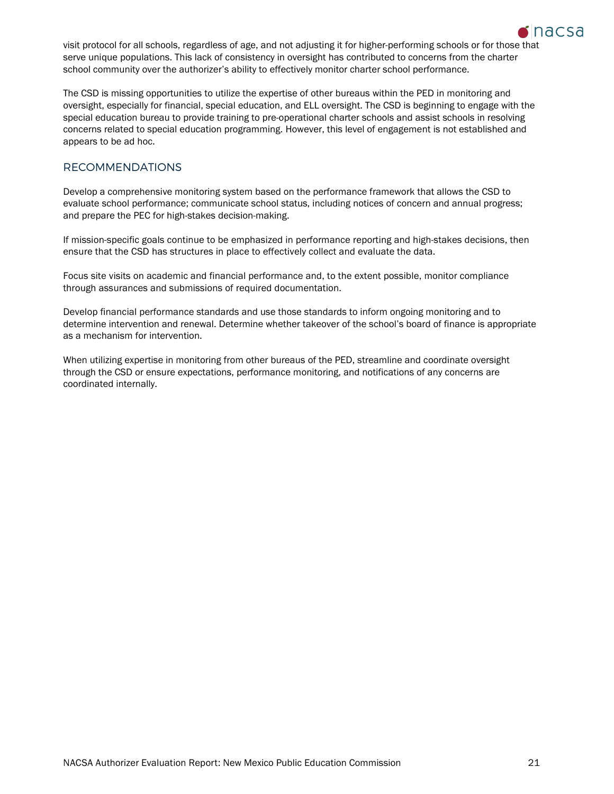

visit protocol for all schools, regardless of age, and not adjusting it for higher-performing schools or for those that serve unique populations. This lack of consistency in oversight has contributed to concerns from the charter school community over the authorizer's ability to effectively monitor charter school performance.

The CSD is missing opportunities to utilize the expertise of other bureaus within the PED in monitoring and oversight, especially for financial, special education, and ELL oversight. The CSD is beginning to engage with the special education bureau to provide training to pre-operational charter schools and assist schools in resolving concerns related to special education programming. However, this level of engagement is not established and appears to be ad hoc.

# RECOMMENDATIONS

Develop a comprehensive monitoring system based on the performance framework that allows the CSD to evaluate school performance; communicate school status, including notices of concern and annual progress; and prepare the PEC for high-stakes decision-making.

If mission-specific goals continue to be emphasized in performance reporting and high-stakes decisions, then ensure that the CSD has structures in place to effectively collect and evaluate the data.

Focus site visits on academic and financial performance and, to the extent possible, monitor compliance through assurances and submissions of required documentation.

Develop financial performance standards and use those standards to inform ongoing monitoring and to determine intervention and renewal. Determine whether takeover of the school's board of finance is appropriate as a mechanism for intervention.

When utilizing expertise in monitoring from other bureaus of the PED, streamline and coordinate oversight through the CSD or ensure expectations, performance monitoring, and notifications of any concerns are coordinated internally.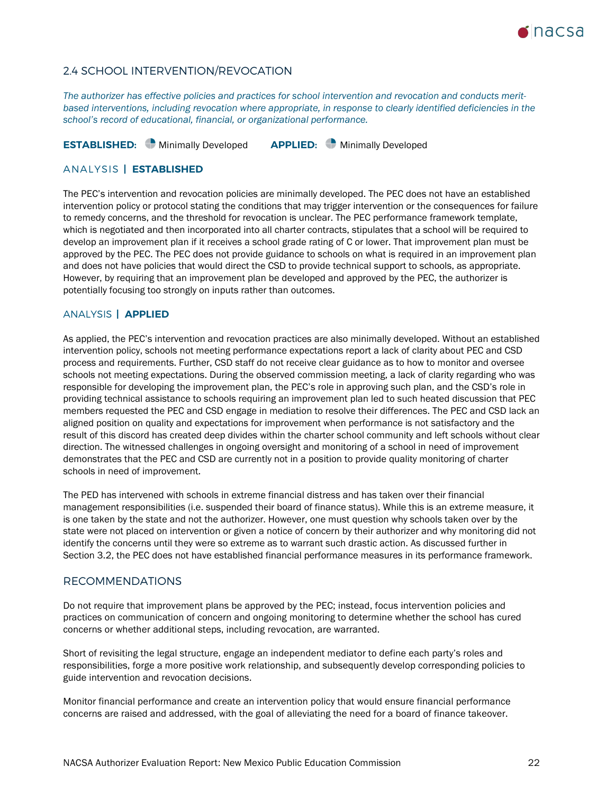

# 2.4 SCHOOL INTERVENTION/REVOCATION

*The authorizer has effective policies and practices for school intervention and revocation and conducts meritbased interventions, including revocation where appropriate, in response to clearly identified deficiencies in the school's record of educational, financial, or organizational performance.*

**ESTABLISHED:** Minimally Developed **APPLIED:** Minimally Developed

### ANALYSIS **| ESTABLISHED**

The PEC's intervention and revocation policies are minimally developed. The PEC does not have an established intervention policy or protocol stating the conditions that may trigger intervention or the consequences for failure to remedy concerns, and the threshold for revocation is unclear. The PEC performance framework template, which is negotiated and then incorporated into all charter contracts, stipulates that a school will be required to develop an improvement plan if it receives a school grade rating of C or lower. That improvement plan must be approved by the PEC. The PEC does not provide guidance to schools on what is required in an improvement plan and does not have policies that would direct the CSD to provide technical support to schools, as appropriate. However, by requiring that an improvement plan be developed and approved by the PEC, the authorizer is potentially focusing too strongly on inputs rather than outcomes.

### ANALYSIS **| APPLIED**

As applied, the PEC's intervention and revocation practices are also minimally developed. Without an established intervention policy, schools not meeting performance expectations report a lack of clarity about PEC and CSD process and requirements. Further, CSD staff do not receive clear guidance as to how to monitor and oversee schools not meeting expectations. During the observed commission meeting, a lack of clarity regarding who was responsible for developing the improvement plan, the PEC's role in approving such plan, and the CSD's role in providing technical assistance to schools requiring an improvement plan led to such heated discussion that PEC members requested the PEC and CSD engage in mediation to resolve their differences. The PEC and CSD lack an aligned position on quality and expectations for improvement when performance is not satisfactory and the result of this discord has created deep divides within the charter school community and left schools without clear direction. The witnessed challenges in ongoing oversight and monitoring of a school in need of improvement demonstrates that the PEC and CSD are currently not in a position to provide quality monitoring of charter schools in need of improvement.

The PED has intervened with schools in extreme financial distress and has taken over their financial management responsibilities (i.e. suspended their board of finance status). While this is an extreme measure, it is one taken by the state and not the authorizer. However, one must question why schools taken over by the state were not placed on intervention or given a notice of concern by their authorizer and why monitoring did not identify the concerns until they were so extreme as to warrant such drastic action. As discussed further in Section 3.2, the PEC does not have established financial performance measures in its performance framework.

### RECOMMENDATIONS

Do not require that improvement plans be approved by the PEC; instead, focus intervention policies and practices on communication of concern and ongoing monitoring to determine whether the school has cured concerns or whether additional steps, including revocation, are warranted.

Short of revisiting the legal structure, engage an independent mediator to define each party's roles and responsibilities, forge a more positive work relationship, and subsequently develop corresponding policies to guide intervention and revocation decisions.

Monitor financial performance and create an intervention policy that would ensure financial performance concerns are raised and addressed, with the goal of alleviating the need for a board of finance takeover.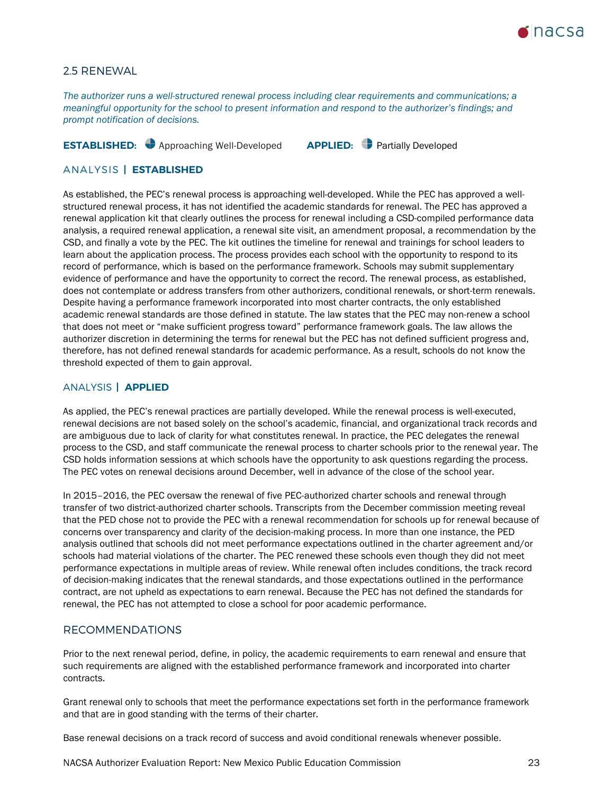

## 2.5 RENEWAL

*The authorizer runs a well-structured renewal process including clear requirements and communications; a meaningful opportunity for the school to present information and respond to the authorizer's findings; and prompt notification of decisions.*

# **ESTABLISHED:** Approaching Well-Developed **APPLIED:** Partially Developed

### ANALYSIS **| ESTABLISHED**

As established, the PEC's renewal process is approaching well-developed. While the PEC has approved a wellstructured renewal process, it has not identified the academic standards for renewal. The PEC has approved a renewal application kit that clearly outlines the process for renewal including a CSD-compiled performance data analysis, a required renewal application, a renewal site visit, an amendment proposal, a recommendation by the CSD, and finally a vote by the PEC. The kit outlines the timeline for renewal and trainings for school leaders to learn about the application process. The process provides each school with the opportunity to respond to its record of performance, which is based on the performance framework. Schools may submit supplementary evidence of performance and have the opportunity to correct the record. The renewal process, as established, does not contemplate or address transfers from other authorizers, conditional renewals, or short-term renewals. Despite having a performance framework incorporated into most charter contracts, the only established academic renewal standards are those defined in statute. The law states that the PEC may non-renew a school that does not meet or "make sufficient progress toward" performance framework goals. The law allows the authorizer discretion in determining the terms for renewal but the PEC has not defined sufficient progress and, therefore, has not defined renewal standards for academic performance. As a result, schools do not know the threshold expected of them to gain approval.

### ANALYSIS **| APPLIED**

As applied, the PEC's renewal practices are partially developed. While the renewal process is well-executed, renewal decisions are not based solely on the school's academic, financial, and organizational track records and are ambiguous due to lack of clarity for what constitutes renewal. In practice, the PEC delegates the renewal process to the CSD, and staff communicate the renewal process to charter schools prior to the renewal year. The CSD holds information sessions at which schools have the opportunity to ask questions regarding the process. The PEC votes on renewal decisions around December, well in advance of the close of the school year.

In 2015–2016, the PEC oversaw the renewal of five PEC-authorized charter schools and renewal through transfer of two district-authorized charter schools. Transcripts from the December commission meeting reveal that the PED chose not to provide the PEC with a renewal recommendation for schools up for renewal because of concerns over transparency and clarity of the decision-making process. In more than one instance, the PED analysis outlined that schools did not meet performance expectations outlined in the charter agreement and/or schools had material violations of the charter. The PEC renewed these schools even though they did not meet performance expectations in multiple areas of review. While renewal often includes conditions, the track record of decision-making indicates that the renewal standards, and those expectations outlined in the performance contract, are not upheld as expectations to earn renewal. Because the PEC has not defined the standards for renewal, the PEC has not attempted to close a school for poor academic performance.

### RECOMMENDATIONS

Prior to the next renewal period, define, in policy, the academic requirements to earn renewal and ensure that such requirements are aligned with the established performance framework and incorporated into charter contracts.

Grant renewal only to schools that meet the performance expectations set forth in the performance framework and that are in good standing with the terms of their charter.

Base renewal decisions on a track record of success and avoid conditional renewals whenever possible.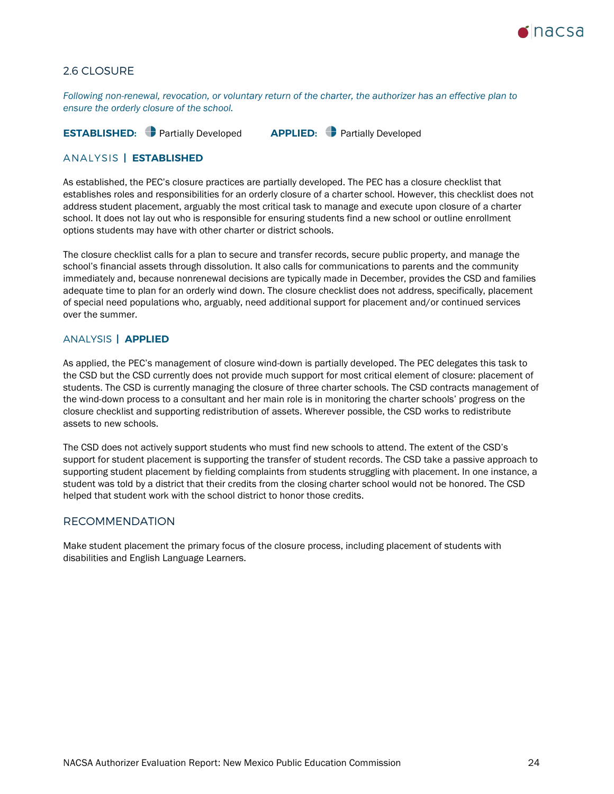

# 2.6 CLOSURE

*Following non-renewal, revocation, or voluntary return of the charter, the authorizer has an effective plan to ensure the orderly closure of the school.*

**ESTABLISHED:** Partially Developed **APPLIED:** Partially Developed

### ANALYSIS **| ESTABLISHED**

As established, the PEC's closure practices are partially developed. The PEC has a closure checklist that establishes roles and responsibilities for an orderly closure of a charter school. However, this checklist does not address student placement, arguably the most critical task to manage and execute upon closure of a charter school. It does not lay out who is responsible for ensuring students find a new school or outline enrollment options students may have with other charter or district schools.

The closure checklist calls for a plan to secure and transfer records, secure public property, and manage the school's financial assets through dissolution. It also calls for communications to parents and the community immediately and, because nonrenewal decisions are typically made in December, provides the CSD and families adequate time to plan for an orderly wind down. The closure checklist does not address, specifically, placement of special need populations who, arguably, need additional support for placement and/or continued services over the summer.

### ANALYSIS **| APPLIED**

As applied, the PEC's management of closure wind-down is partially developed. The PEC delegates this task to the CSD but the CSD currently does not provide much support for most critical element of closure: placement of students. The CSD is currently managing the closure of three charter schools. The CSD contracts management of the wind-down process to a consultant and her main role is in monitoring the charter schools' progress on the closure checklist and supporting redistribution of assets. Wherever possible, the CSD works to redistribute assets to new schools.

The CSD does not actively support students who must find new schools to attend. The extent of the CSD's support for student placement is supporting the transfer of student records. The CSD take a passive approach to supporting student placement by fielding complaints from students struggling with placement. In one instance, a student was told by a district that their credits from the closing charter school would not be honored. The CSD helped that student work with the school district to honor those credits.

### RECOMMENDATION

Make student placement the primary focus of the closure process, including placement of students with disabilities and English Language Learners.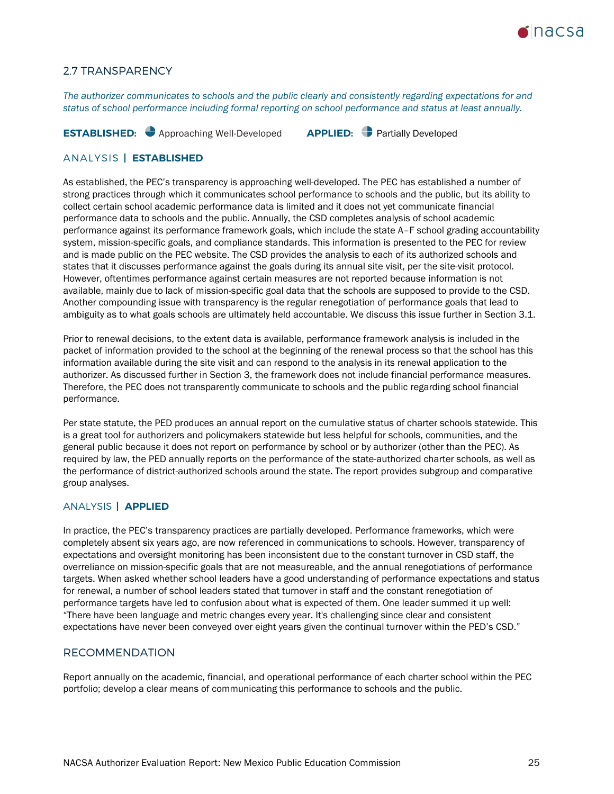

### 2.7 TRANSPARENCY

*The authorizer communicates to schools and the public clearly and consistently regarding expectations for and status of school performance including formal reporting on school performance and status at least annually.*

**ESTABLISHED:** Approaching Well-Developed **APPLIED:** Partially Developed

### ANALYSIS **| ESTABLISHED**

As established, the PEC's transparency is approaching well-developed. The PEC has established a number of strong practices through which it communicates school performance to schools and the public, but its ability to collect certain school academic performance data is limited and it does not yet communicate financial performance data to schools and the public. Annually, the CSD completes analysis of school academic performance against its performance framework goals, which include the state A–F school grading accountability system, mission-specific goals, and compliance standards. This information is presented to the PEC for review and is made public on the PEC website. The CSD provides the analysis to each of its authorized schools and states that it discusses performance against the goals during its annual site visit, per the site-visit protocol. However, oftentimes performance against certain measures are not reported because information is not available, mainly due to lack of mission-specific goal data that the schools are supposed to provide to the CSD. Another compounding issue with transparency is the regular renegotiation of performance goals that lead to ambiguity as to what goals schools are ultimately held accountable. We discuss this issue further in Section 3.1.

Prior to renewal decisions, to the extent data is available, performance framework analysis is included in the packet of information provided to the school at the beginning of the renewal process so that the school has this information available during the site visit and can respond to the analysis in its renewal application to the authorizer. As discussed further in Section 3, the framework does not include financial performance measures. Therefore, the PEC does not transparently communicate to schools and the public regarding school financial performance.

Per state statute, the PED produces an annual report on the cumulative status of charter schools statewide. This is a great tool for authorizers and policymakers statewide but less helpful for schools, communities, and the general public because it does not report on performance by school or by authorizer (other than the PEC). As required by law, the PED annually reports on the performance of the state-authorized charter schools, as well as the performance of district-authorized schools around the state. The report provides subgroup and comparative group analyses.

### ANALYSIS **| APPLIED**

In practice, the PEC's transparency practices are partially developed. Performance frameworks, which were completely absent six years ago, are now referenced in communications to schools. However, transparency of expectations and oversight monitoring has been inconsistent due to the constant turnover in CSD staff, the overreliance on mission-specific goals that are not measureable, and the annual renegotiations of performance targets. When asked whether school leaders have a good understanding of performance expectations and status for renewal, a number of school leaders stated that turnover in staff and the constant renegotiation of performance targets have led to confusion about what is expected of them. One leader summed it up well: "There have been language and metric changes every year. It's challenging since clear and consistent expectations have never been conveyed over eight years given the continual turnover within the PED's CSD."

### RECOMMENDATION

Report annually on the academic, financial, and operational performance of each charter school within the PEC portfolio; develop a clear means of communicating this performance to schools and the public.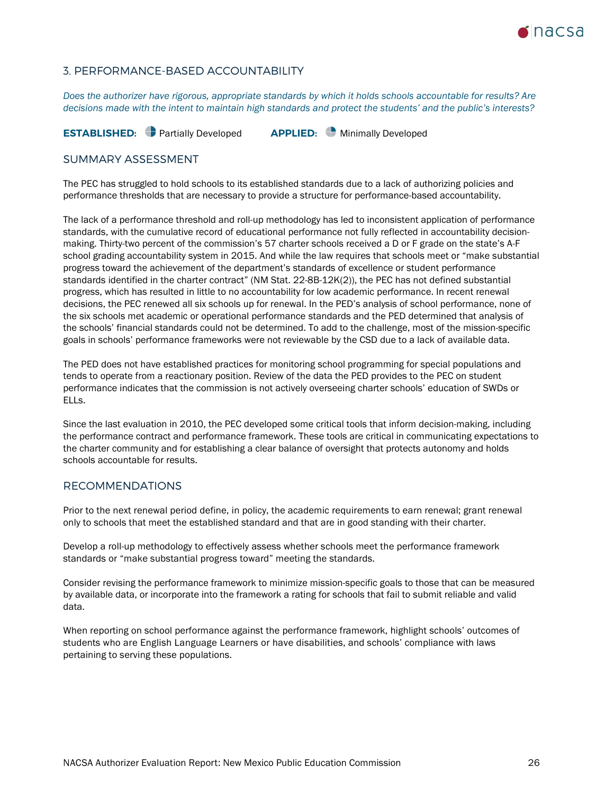

# <span id="page-25-0"></span>3. PERFORMANCE-BASED ACCOUNTABILITY

*Does the authorizer have rigorous, appropriate standards by which it holds schools accountable for results? Are decisions made with the intent to maintain high standards and protect the students' and the public's interests?*

**ESTABLISHED:** Partially Developed **APPLIED:** Minimally Developed

### SUMMARY ASSESSMENT

The PEC has struggled to hold schools to its established standards due to a lack of authorizing policies and performance thresholds that are necessary to provide a structure for performance-based accountability.

The lack of a performance threshold and roll-up methodology has led to inconsistent application of performance standards, with the cumulative record of educational performance not fully reflected in accountability decisionmaking. Thirty-two percent of the commission's 57 charter schools received a D or F grade on the state's A-F school grading accountability system in 2015. And while the law requires that schools meet or "make substantial progress toward the achievement of the department's standards of excellence or student performance standards identified in the charter contract" (NM Stat. 22-8B-12K(2)), the PEC has not defined substantial progress, which has resulted in little to no accountability for low academic performance. In recent renewal decisions, the PEC renewed all six schools up for renewal. In the PED's analysis of school performance, none of the six schools met academic or operational performance standards and the PED determined that analysis of the schools' financial standards could not be determined. To add to the challenge, most of the mission-specific goals in schools' performance frameworks were not reviewable by the CSD due to a lack of available data.

The PED does not have established practices for monitoring school programming for special populations and tends to operate from a reactionary position. Review of the data the PED provides to the PEC on student performance indicates that the commission is not actively overseeing charter schools' education of SWDs or ELLs.

Since the last evaluation in 2010, the PEC developed some critical tools that inform decision-making, including the performance contract and performance framework. These tools are critical in communicating expectations to the charter community and for establishing a clear balance of oversight that protects autonomy and holds schools accountable for results.

### RECOMMENDATIONS

Prior to the next renewal period define, in policy, the academic requirements to earn renewal; grant renewal only to schools that meet the established standard and that are in good standing with their charter.

Develop a roll-up methodology to effectively assess whether schools meet the performance framework standards or "make substantial progress toward" meeting the standards.

Consider revising the performance framework to minimize mission-specific goals to those that can be measured by available data, or incorporate into the framework a rating for schools that fail to submit reliable and valid data.

When reporting on school performance against the performance framework, highlight schools' outcomes of students who are English Language Learners or have disabilities, and schools' compliance with laws pertaining to serving these populations.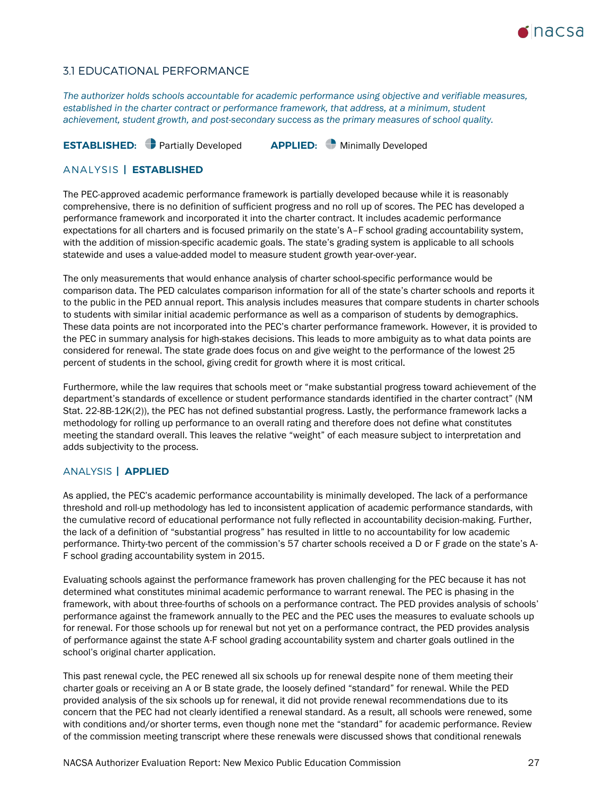

# 3.1 EDUCATIONAL PERFORMANCE

*The authorizer holds schools accountable for academic performance using objective and verifiable measures, established in the charter contract or performance framework, that address, at a minimum, student achievement, student growth, and post-secondary success as the primary measures of school quality.*

# **ESTABLISHED:** Partially Developed **APPLIED:** Minimally Developed

### ANALYSIS **| ESTABLISHED**

The PEC-approved academic performance framework is partially developed because while it is reasonably comprehensive, there is no definition of sufficient progress and no roll up of scores. The PEC has developed a performance framework and incorporated it into the charter contract. It includes academic performance expectations for all charters and is focused primarily on the state's A–F school grading accountability system, with the addition of mission-specific academic goals. The state's grading system is applicable to all schools statewide and uses a value-added model to measure student growth year-over-year.

The only measurements that would enhance analysis of charter school-specific performance would be comparison data. The PED calculates comparison information for all of the state's charter schools and reports it to the public in the PED annual report. This analysis includes measures that compare students in charter schools to students with similar initial academic performance as well as a comparison of students by demographics. These data points are not incorporated into the PEC's charter performance framework. However, it is provided to the PEC in summary analysis for high-stakes decisions. This leads to more ambiguity as to what data points are considered for renewal. The state grade does focus on and give weight to the performance of the lowest 25 percent of students in the school, giving credit for growth where it is most critical.

Furthermore, while the law requires that schools meet or "make substantial progress toward achievement of the department's standards of excellence or student performance standards identified in the charter contract" (NM Stat. 22-8B-12K(2)), the PEC has not defined substantial progress. Lastly, the performance framework lacks a methodology for rolling up performance to an overall rating and therefore does not define what constitutes meeting the standard overall. This leaves the relative "weight" of each measure subject to interpretation and adds subjectivity to the process.

### ANALYSIS **| APPLIED**

As applied, the PEC's academic performance accountability is minimally developed. The lack of a performance threshold and roll-up methodology has led to inconsistent application of academic performance standards, with the cumulative record of educational performance not fully reflected in accountability decision-making. Further, the lack of a definition of "substantial progress" has resulted in little to no accountability for low academic performance. Thirty-two percent of the commission's 57 charter schools received a D or F grade on the state's A-F school grading accountability system in 2015.

Evaluating schools against the performance framework has proven challenging for the PEC because it has not determined what constitutes minimal academic performance to warrant renewal. The PEC is phasing in the framework, with about three-fourths of schools on a performance contract. The PED provides analysis of schools' performance against the framework annually to the PEC and the PEC uses the measures to evaluate schools up for renewal. For those schools up for renewal but not yet on a performance contract, the PED provides analysis of performance against the state A-F school grading accountability system and charter goals outlined in the school's original charter application.

This past renewal cycle, the PEC renewed all six schools up for renewal despite none of them meeting their charter goals or receiving an A or B state grade, the loosely defined "standard" for renewal. While the PED provided analysis of the six schools up for renewal, it did not provide renewal recommendations due to its concern that the PEC had not clearly identified a renewal standard. As a result, all schools were renewed, some with conditions and/or shorter terms, even though none met the "standard" for academic performance. Review of the commission meeting transcript where these renewals were discussed shows that conditional renewals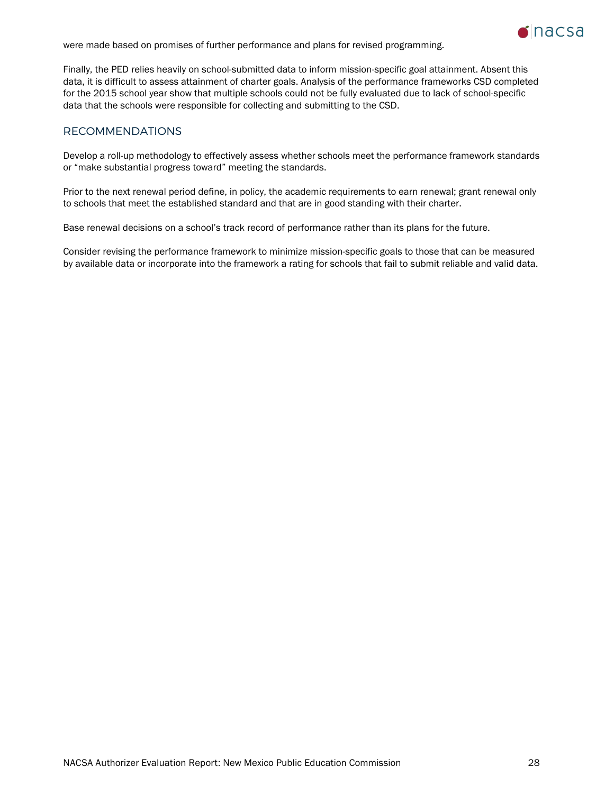were made based on promises of further performance and plans for revised programming.



Finally, the PED relies heavily on school-submitted data to inform mission-specific goal attainment. Absent this data, it is difficult to assess attainment of charter goals. Analysis of the performance frameworks CSD completed for the 2015 school year show that multiple schools could not be fully evaluated due to lack of school-specific data that the schools were responsible for collecting and submitting to the CSD.

# RECOMMENDATIONS

Develop a roll-up methodology to effectively assess whether schools meet the performance framework standards or "make substantial progress toward" meeting the standards.

Prior to the next renewal period define, in policy, the academic requirements to earn renewal; grant renewal only to schools that meet the established standard and that are in good standing with their charter.

Base renewal decisions on a school's track record of performance rather than its plans for the future.

Consider revising the performance framework to minimize mission-specific goals to those that can be measured by available data or incorporate into the framework a rating for schools that fail to submit reliable and valid data.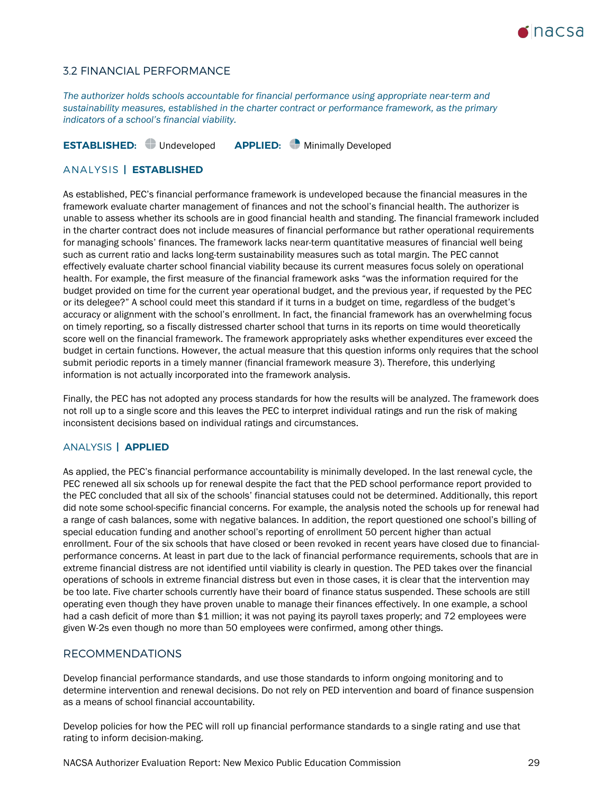

### 3.2 FINANCIAL PERFORMANCE

*The authorizer holds schools accountable for financial performance using appropriate near-term and sustainability measures, established in the charter contract or performance framework, as the primary indicators of a school's financial viability.*

**ESTABLISHED:** Undeveloped **APPLIED:** Minimally Developed

### ANALYSIS **| ESTABLISHED**

As established, PEC's financial performance framework is undeveloped because the financial measures in the framework evaluate charter management of finances and not the school's financial health. The authorizer is unable to assess whether its schools are in good financial health and standing. The financial framework included in the charter contract does not include measures of financial performance but rather operational requirements for managing schools' finances. The framework lacks near-term quantitative measures of financial well being such as current ratio and lacks long-term sustainability measures such as total margin. The PEC cannot effectively evaluate charter school financial viability because its current measures focus solely on operational health. For example, the first measure of the financial framework asks "was the information required for the budget provided on time for the current year operational budget, and the previous year, if requested by the PEC or its delegee?" A school could meet this standard if it turns in a budget on time, regardless of the budget's accuracy or alignment with the school's enrollment. In fact, the financial framework has an overwhelming focus on timely reporting, so a fiscally distressed charter school that turns in its reports on time would theoretically score well on the financial framework. The framework appropriately asks whether expenditures ever exceed the budget in certain functions. However, the actual measure that this question informs only requires that the school submit periodic reports in a timely manner (financial framework measure 3). Therefore, this underlying information is not actually incorporated into the framework analysis.

Finally, the PEC has not adopted any process standards for how the results will be analyzed. The framework does not roll up to a single score and this leaves the PEC to interpret individual ratings and run the risk of making inconsistent decisions based on individual ratings and circumstances.

### ANALYSIS **| APPLIED**

As applied, the PEC's financial performance accountability is minimally developed. In the last renewal cycle, the PEC renewed all six schools up for renewal despite the fact that the PED school performance report provided to the PEC concluded that all six of the schools' financial statuses could not be determined. Additionally, this report did note some school-specific financial concerns. For example, the analysis noted the schools up for renewal had a range of cash balances, some with negative balances. In addition, the report questioned one school's billing of special education funding and another school's reporting of enrollment 50 percent higher than actual enrollment. Four of the six schools that have closed or been revoked in recent years have closed due to financialperformance concerns. At least in part due to the lack of financial performance requirements, schools that are in extreme financial distress are not identified until viability is clearly in question. The PED takes over the financial operations of schools in extreme financial distress but even in those cases, it is clear that the intervention may be too late. Five charter schools currently have their board of finance status suspended. These schools are still operating even though they have proven unable to manage their finances effectively. In one example, a school had a cash deficit of more than \$1 million; it was not paying its payroll taxes properly; and 72 employees were given W-2s even though no more than 50 employees were confirmed, among other things.

### RECOMMENDATIONS

Develop financial performance standards, and use those standards to inform ongoing monitoring and to determine intervention and renewal decisions. Do not rely on PED intervention and board of finance suspension as a means of school financial accountability.

Develop policies for how the PEC will roll up financial performance standards to a single rating and use that rating to inform decision-making.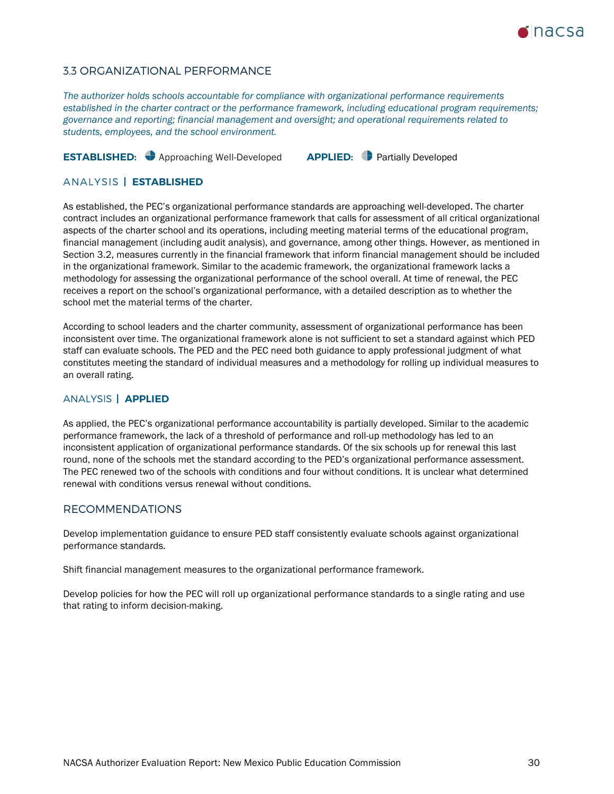

# 3.3 ORGANIZATIONAL PERFORMANCE

*The authorizer holds schools accountable for compliance with organizational performance requirements established in the charter contract or the performance framework, including educational program requirements; governance and reporting; financial management and oversight; and operational requirements related to students, employees, and the school environment.*

# **ESTABLISHED:** Approaching Well-Developed **APPLIED:** Partially Developed

### ANALYSIS **| ESTABLISHED**

As established, the PEC's organizational performance standards are approaching well-developed. The charter contract includes an organizational performance framework that calls for assessment of all critical organizational aspects of the charter school and its operations, including meeting material terms of the educational program, financial management (including audit analysis), and governance, among other things. However, as mentioned in Section 3.2, measures currently in the financial framework that inform financial management should be included in the organizational framework. Similar to the academic framework, the organizational framework lacks a methodology for assessing the organizational performance of the school overall. At time of renewal, the PEC receives a report on the school's organizational performance, with a detailed description as to whether the school met the material terms of the charter.

According to school leaders and the charter community, assessment of organizational performance has been inconsistent over time. The organizational framework alone is not sufficient to set a standard against which PED staff can evaluate schools. The PED and the PEC need both guidance to apply professional judgment of what constitutes meeting the standard of individual measures and a methodology for rolling up individual measures to an overall rating.

### ANALYSIS **| APPLIED**

As applied, the PEC's organizational performance accountability is partially developed. Similar to the academic performance framework, the lack of a threshold of performance and roll-up methodology has led to an inconsistent application of organizational performance standards. Of the six schools up for renewal this last round, none of the schools met the standard according to the PED's organizational performance assessment. The PEC renewed two of the schools with conditions and four without conditions. It is unclear what determined renewal with conditions versus renewal without conditions.

### RECOMMENDATIONS

Develop implementation guidance to ensure PED staff consistently evaluate schools against organizational performance standards.

Shift financial management measures to the organizational performance framework.

Develop policies for how the PEC will roll up organizational performance standards to a single rating and use that rating to inform decision-making.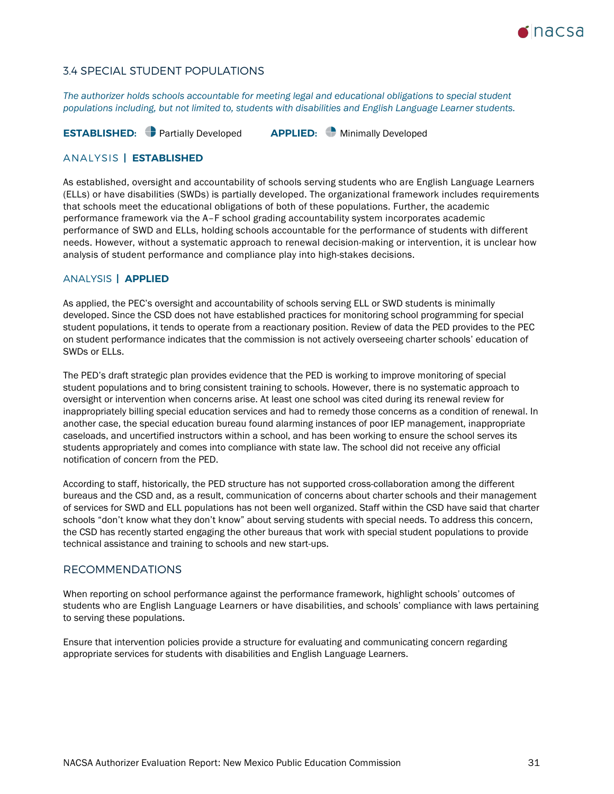

# 3.4 SPECIAL STUDENT POPULATIONS

*The authorizer holds schools accountable for meeting legal and educational obligations to special student populations including, but not limited to, students with disabilities and English Language Learner students.*

**ESTABLISHED:** Partially Developed **APPLIED:** Minimally Developed

### ANALYSIS **| ESTABLISHED**

As established, oversight and accountability of schools serving students who are English Language Learners (ELLs) or have disabilities (SWDs) is partially developed. The organizational framework includes requirements that schools meet the educational obligations of both of these populations. Further, the academic performance framework via the A–F school grading accountability system incorporates academic performance of SWD and ELLs, holding schools accountable for the performance of students with different needs. However, without a systematic approach to renewal decision-making or intervention, it is unclear how analysis of student performance and compliance play into high-stakes decisions.

### ANALYSIS **| APPLIED**

As applied, the PEC's oversight and accountability of schools serving ELL or SWD students is minimally developed. Since the CSD does not have established practices for monitoring school programming for special student populations, it tends to operate from a reactionary position. Review of data the PED provides to the PEC on student performance indicates that the commission is not actively overseeing charter schools' education of SWDs or ELLs.

The PED's draft strategic plan provides evidence that the PED is working to improve monitoring of special student populations and to bring consistent training to schools. However, there is no systematic approach to oversight or intervention when concerns arise. At least one school was cited during its renewal review for inappropriately billing special education services and had to remedy those concerns as a condition of renewal. In another case, the special education bureau found alarming instances of poor IEP management, inappropriate caseloads, and uncertified instructors within a school, and has been working to ensure the school serves its students appropriately and comes into compliance with state law. The school did not receive any official notification of concern from the PED.

According to staff, historically, the PED structure has not supported cross-collaboration among the different bureaus and the CSD and, as a result, communication of concerns about charter schools and their management of services for SWD and ELL populations has not been well organized. Staff within the CSD have said that charter schools "don't know what they don't know" about serving students with special needs. To address this concern, the CSD has recently started engaging the other bureaus that work with special student populations to provide technical assistance and training to schools and new start-ups.

### RECOMMENDATIONS

When reporting on school performance against the performance framework, highlight schools' outcomes of students who are English Language Learners or have disabilities, and schools' compliance with laws pertaining to serving these populations.

Ensure that intervention policies provide a structure for evaluating and communicating concern regarding appropriate services for students with disabilities and English Language Learners.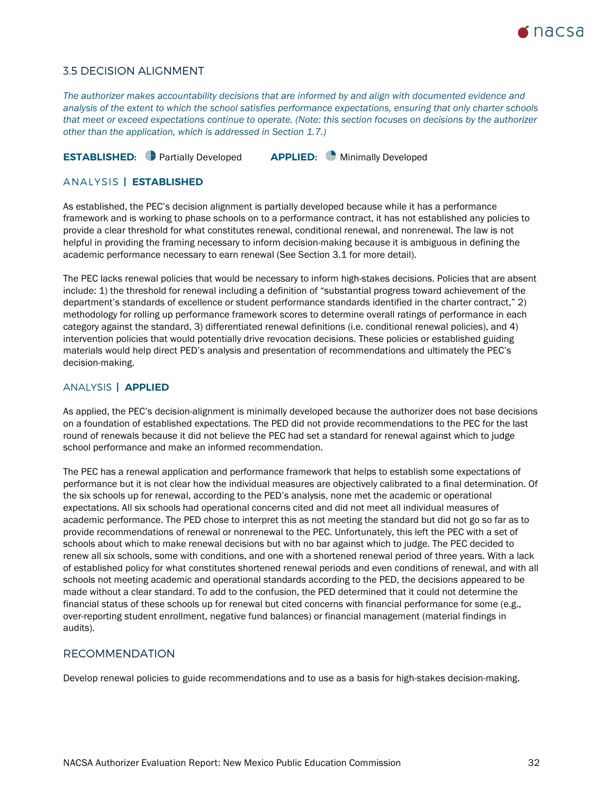

### 3.5 DECISION ALIGNMENT

*The authorizer makes accountability decisions that are informed by and align with documented evidence and analysis of the extent to which the school satisfies performance expectations, ensuring that only charter schools that meet or exceed expectations continue to operate. (Note: this section focuses on decisions by the authorizer other than the application, which is addressed in Section 1.7.)*

**ESTABLISHED:** Partially Developed **APPLIED:** Minimally Developed

### ANALYSIS **| ESTABLISHED**

As established, the PEC's decision alignment is partially developed because while it has a performance framework and is working to phase schools on to a performance contract, it has not established any policies to provide a clear threshold for what constitutes renewal, conditional renewal, and nonrenewal. The law is not helpful in providing the framing necessary to inform decision-making because it is ambiguous in defining the academic performance necessary to earn renewal (See Section 3.1 for more detail).

The PEC lacks renewal policies that would be necessary to inform high-stakes decisions. Policies that are absent include: 1) the threshold for renewal including a definition of "substantial progress toward achievement of the department's standards of excellence or student performance standards identified in the charter contract," 2) methodology for rolling up performance framework scores to determine overall ratings of performance in each category against the standard, 3) differentiated renewal definitions (i.e. conditional renewal policies), and 4) intervention policies that would potentially drive revocation decisions. These policies or established guiding materials would help direct PED's analysis and presentation of recommendations and ultimately the PEC's decision-making.

### ANALYSIS **| APPLIED**

As applied, the PEC's decision-alignment is minimally developed because the authorizer does not base decisions on a foundation of established expectations. The PED did not provide recommendations to the PEC for the last round of renewals because it did not believe the PEC had set a standard for renewal against which to judge school performance and make an informed recommendation.

The PEC has a renewal application and performance framework that helps to establish some expectations of performance but it is not clear how the individual measures are objectively calibrated to a final determination. Of the six schools up for renewal, according to the PED's analysis, none met the academic or operational expectations. All six schools had operational concerns cited and did not meet all individual measures of academic performance. The PED chose to interpret this as not meeting the standard but did not go so far as to provide recommendations of renewal or nonrenewal to the PEC. Unfortunately, this left the PEC with a set of schools about which to make renewal decisions but with no bar against which to judge. The PEC decided to renew all six schools, some with conditions, and one with a shortened renewal period of three years. With a lack of established policy for what constitutes shortened renewal periods and even conditions of renewal, and with all schools not meeting academic and operational standards according to the PED, the decisions appeared to be made without a clear standard. To add to the confusion, the PED determined that it could not determine the financial status of these schools up for renewal but cited concerns with financial performance for some (e.g., over-reporting student enrollment, negative fund balances) or financial management (material findings in audits).

### RECOMMENDATION

Develop renewal policies to guide recommendations and to use as a basis for high-stakes decision-making.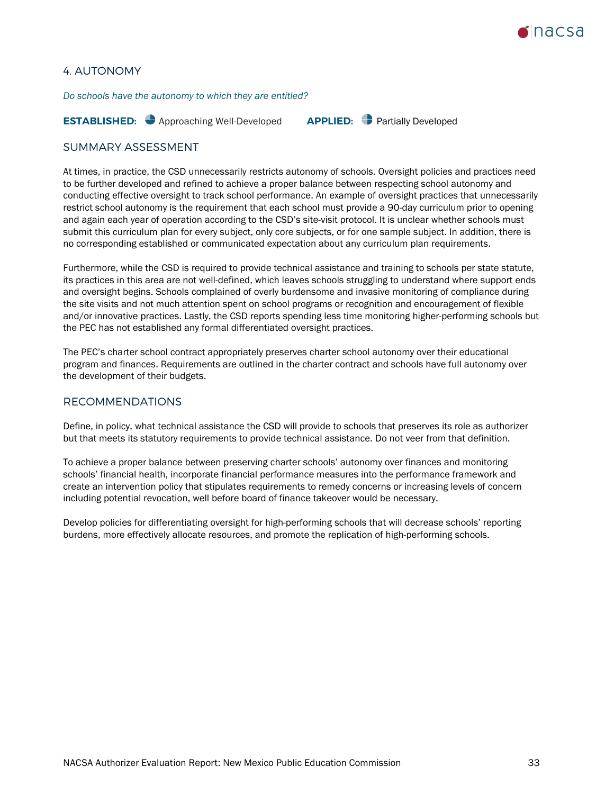

## <span id="page-32-0"></span>4. AUTONOMY

*Do schools have the autonomy to which they are entitled?*

**ESTABLISHED:** Approaching Well-Developed **APPLIED:** Partially Developed

### SUMMARY ASSESSMENT

At times, in practice, the CSD unnecessarily restricts autonomy of schools. Oversight policies and practices need to be further developed and refined to achieve a proper balance between respecting school autonomy and conducting effective oversight to track school performance. An example of oversight practices that unnecessarily restrict school autonomy is the requirement that each school must provide a 90-day curriculum prior to opening and again each year of operation according to the CSD's site-visit protocol. It is unclear whether schools must submit this curriculum plan for every subject, only core subjects, or for one sample subject. In addition, there is no corresponding established or communicated expectation about any curriculum plan requirements.

Furthermore, while the CSD is required to provide technical assistance and training to schools per state statute, its practices in this area are not well-defined, which leaves schools struggling to understand where support ends and oversight begins. Schools complained of overly burdensome and invasive monitoring of compliance during the site visits and not much attention spent on school programs or recognition and encouragement of flexible and/or innovative practices. Lastly, the CSD reports spending less time monitoring higher-performing schools but the PEC has not established any formal differentiated oversight practices.

The PEC's charter school contract appropriately preserves charter school autonomy over their educational program and finances. Requirements are outlined in the charter contract and schools have full autonomy over the development of their budgets.

### RECOMMENDATIONS

Define, in policy, what technical assistance the CSD will provide to schools that preserves its role as authorizer but that meets its statutory requirements to provide technical assistance. Do not veer from that definition.

To achieve a proper balance between preserving charter schools' autonomy over finances and monitoring schools' financial health, incorporate financial performance measures into the performance framework and create an intervention policy that stipulates requirements to remedy concerns or increasing levels of concern including potential revocation, well before board of finance takeover would be necessary.

Develop policies for differentiating oversight for high-performing schools that will decrease schools' reporting burdens, more effectively allocate resources, and promote the replication of high-performing schools.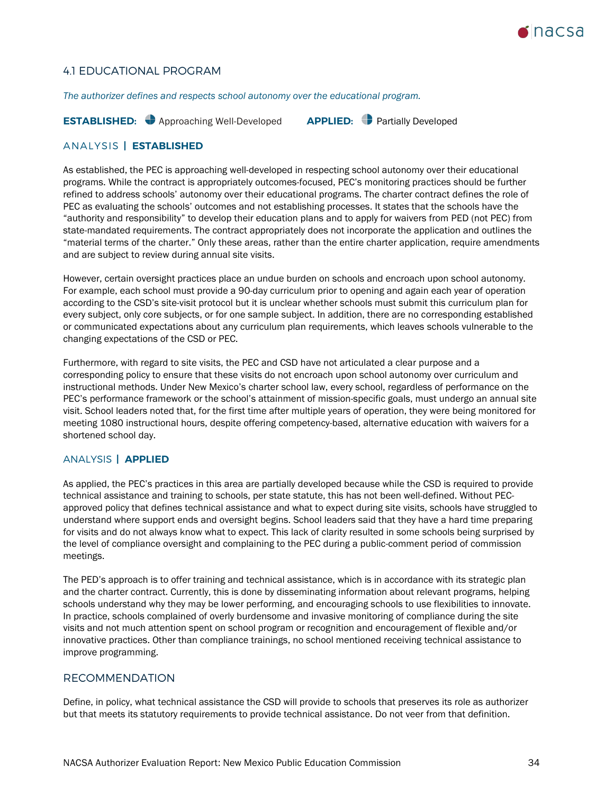

# 4.1 EDUCATIONAL PROGRAM

*The authorizer defines and respects school autonomy over the educational program.*

**ESTABLISHED:** Approaching Well-Developed **APPLIED:** Partially Developed

### ANALYSIS **| ESTABLISHED**

As established, the PEC is approaching well-developed in respecting school autonomy over their educational programs. While the contract is appropriately outcomes-focused, PEC's monitoring practices should be further refined to address schools' autonomy over their educational programs. The charter contract defines the role of PEC as evaluating the schools' outcomes and not establishing processes. It states that the schools have the "authority and responsibility" to develop their education plans and to apply for waivers from PED (not PEC) from state-mandated requirements. The contract appropriately does not incorporate the application and outlines the "material terms of the charter." Only these areas, rather than the entire charter application, require amendments and are subject to review during annual site visits.

However, certain oversight practices place an undue burden on schools and encroach upon school autonomy. For example, each school must provide a 90-day curriculum prior to opening and again each year of operation according to the CSD's site-visit protocol but it is unclear whether schools must submit this curriculum plan for every subject, only core subjects, or for one sample subject. In addition, there are no corresponding established or communicated expectations about any curriculum plan requirements, which leaves schools vulnerable to the changing expectations of the CSD or PEC.

Furthermore, with regard to site visits, the PEC and CSD have not articulated a clear purpose and a corresponding policy to ensure that these visits do not encroach upon school autonomy over curriculum and instructional methods. Under New Mexico's charter school law, every school, regardless of performance on the PEC's performance framework or the school's attainment of mission-specific goals, must undergo an annual site visit. School leaders noted that, for the first time after multiple years of operation, they were being monitored for meeting 1080 instructional hours, despite offering competency-based, alternative education with waivers for a shortened school day.

### ANALYSIS **| APPLIED**

As applied, the PEC's practices in this area are partially developed because while the CSD is required to provide technical assistance and training to schools, per state statute, this has not been well-defined. Without PECapproved policy that defines technical assistance and what to expect during site visits, schools have struggled to understand where support ends and oversight begins. School leaders said that they have a hard time preparing for visits and do not always know what to expect. This lack of clarity resulted in some schools being surprised by the level of compliance oversight and complaining to the PEC during a public-comment period of commission meetings.

The PED's approach is to offer training and technical assistance, which is in accordance with its strategic plan and the charter contract. Currently, this is done by disseminating information about relevant programs, helping schools understand why they may be lower performing, and encouraging schools to use flexibilities to innovate. In practice, schools complained of overly burdensome and invasive monitoring of compliance during the site visits and not much attention spent on school program or recognition and encouragement of flexible and/or innovative practices. Other than compliance trainings, no school mentioned receiving technical assistance to improve programming.

### RECOMMENDATION

Define, in policy, what technical assistance the CSD will provide to schools that preserves its role as authorizer but that meets its statutory requirements to provide technical assistance. Do not veer from that definition.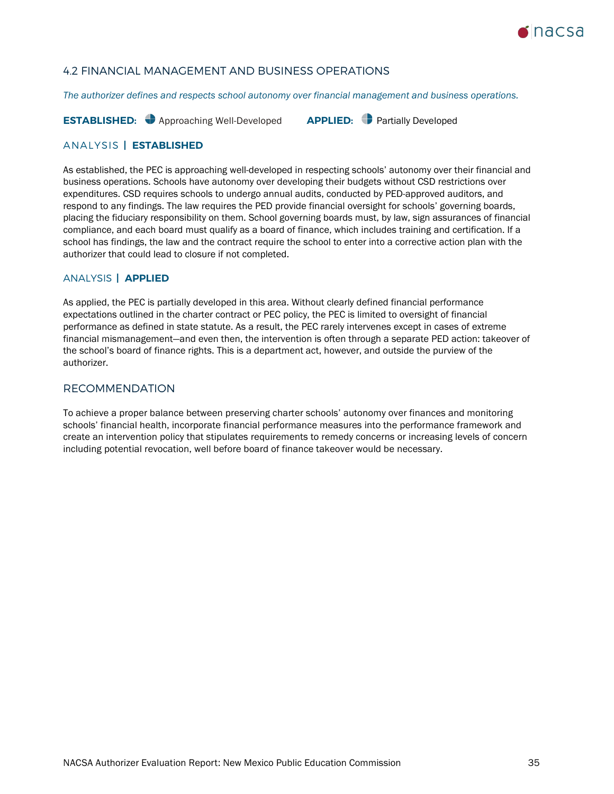

# 4.2 FINANCIAL MANAGEMENT AND BUSINESS OPERATIONS

*The authorizer defines and respects school autonomy over financial management and business operations.*

**ESTABLISHED:** Approaching Well-Developed **APPLIED:** Partially Developed

### ANALYSIS **| ESTABLISHED**

As established, the PEC is approaching well-developed in respecting schools' autonomy over their financial and business operations. Schools have autonomy over developing their budgets without CSD restrictions over expenditures. CSD requires schools to undergo annual audits, conducted by PED-approved auditors, and respond to any findings. The law requires the PED provide financial oversight for schools' governing boards, placing the fiduciary responsibility on them. School governing boards must, by law, sign assurances of financial compliance, and each board must qualify as a board of finance, which includes training and certification. If a school has findings, the law and the contract require the school to enter into a corrective action plan with the authorizer that could lead to closure if not completed.

### ANALYSIS **| APPLIED**

As applied, the PEC is partially developed in this area. Without clearly defined financial performance expectations outlined in the charter contract or PEC policy, the PEC is limited to oversight of financial performance as defined in state statute. As a result, the PEC rarely intervenes except in cases of extreme financial mismanagement—and even then, the intervention is often through a separate PED action: takeover of the school's board of finance rights. This is a department act, however, and outside the purview of the authorizer.

# RECOMMENDATION

To achieve a proper balance between preserving charter schools' autonomy over finances and monitoring schools' financial health, incorporate financial performance measures into the performance framework and create an intervention policy that stipulates requirements to remedy concerns or increasing levels of concern including potential revocation, well before board of finance takeover would be necessary.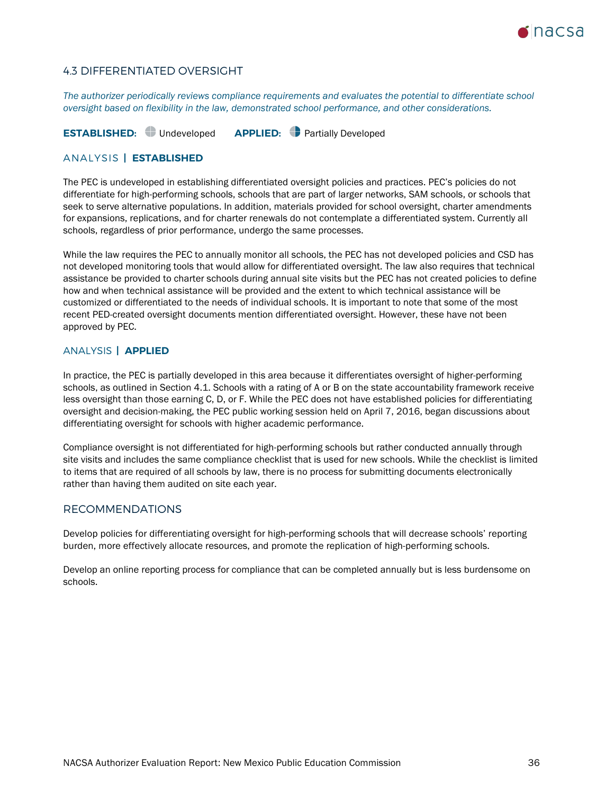

# 4.3 DIFFERENTIATED OVERSIGHT

*The authorizer periodically reviews compliance requirements and evaluates the potential to differentiate school oversight based on flexibility in the law, demonstrated school performance, and other considerations.*

**ESTABLISHED:** Undeveloped **APPLIED:** Partially Developed

### ANALYSIS **| ESTABLISHED**

The PEC is undeveloped in establishing differentiated oversight policies and practices. PEC's policies do not differentiate for high-performing schools, schools that are part of larger networks, SAM schools, or schools that seek to serve alternative populations. In addition, materials provided for school oversight, charter amendments for expansions, replications, and for charter renewals do not contemplate a differentiated system. Currently all schools, regardless of prior performance, undergo the same processes.

While the law requires the PEC to annually monitor all schools, the PEC has not developed policies and CSD has not developed monitoring tools that would allow for differentiated oversight. The law also requires that technical assistance be provided to charter schools during annual site visits but the PEC has not created policies to define how and when technical assistance will be provided and the extent to which technical assistance will be customized or differentiated to the needs of individual schools. It is important to note that some of the most recent PED-created oversight documents mention differentiated oversight. However, these have not been approved by PEC.

### ANALYSIS **| APPLIED**

In practice, the PEC is partially developed in this area because it differentiates oversight of higher-performing schools, as outlined in Section 4.1. Schools with a rating of A or B on the state accountability framework receive less oversight than those earning C, D, or F. While the PEC does not have established policies for differentiating oversight and decision-making, the PEC public working session held on April 7, 2016, began discussions about differentiating oversight for schools with higher academic performance.

Compliance oversight is not differentiated for high-performing schools but rather conducted annually through site visits and includes the same compliance checklist that is used for new schools. While the checklist is limited to items that are required of all schools by law, there is no process for submitting documents electronically rather than having them audited on site each year.

### RECOMMENDATIONS

Develop policies for differentiating oversight for high-performing schools that will decrease schools' reporting burden, more effectively allocate resources, and promote the replication of high-performing schools.

Develop an online reporting process for compliance that can be completed annually but is less burdensome on schools.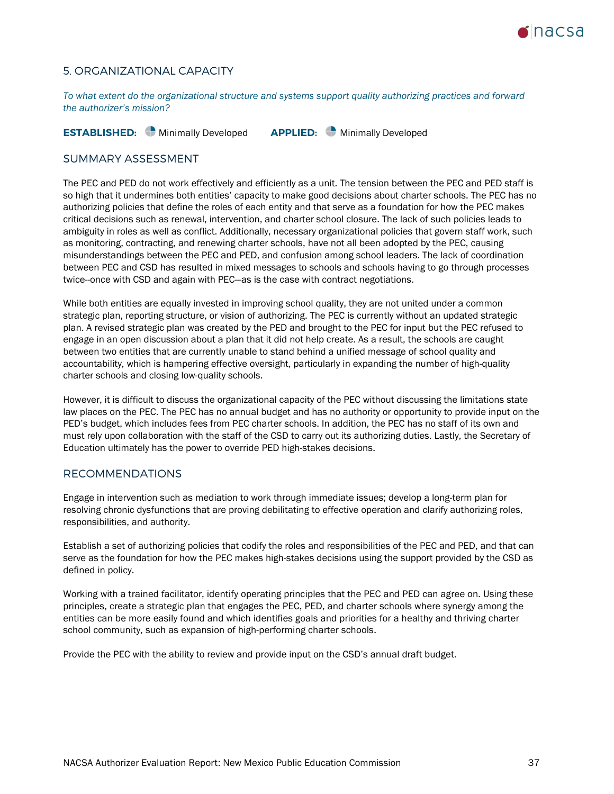

# <span id="page-36-0"></span>5. ORGANIZATIONAL CAPACITY

*To what extent do the organizational structure and systems support quality authorizing practices and forward the authorizer's mission?*

**ESTABLISHED:** Minimally Developed **APPLIED:** Minimally Developed

### SUMMARY ASSESSMENT

The PEC and PED do not work effectively and efficiently as a unit. The tension between the PEC and PED staff is so high that it undermines both entities' capacity to make good decisions about charter schools. The PEC has no authorizing policies that define the roles of each entity and that serve as a foundation for how the PEC makes critical decisions such as renewal, intervention, and charter school closure. The lack of such policies leads to ambiguity in roles as well as conflict. Additionally, necessary organizational policies that govern staff work, such as monitoring, contracting, and renewing charter schools, have not all been adopted by the PEC, causing misunderstandings between the PEC and PED, and confusion among school leaders. The lack of coordination between PEC and CSD has resulted in mixed messages to schools and schools having to go through processes twice--once with CSD and again with PEC—as is the case with contract negotiations.

While both entities are equally invested in improving school quality, they are not united under a common strategic plan, reporting structure, or vision of authorizing. The PEC is currently without an updated strategic plan. A revised strategic plan was created by the PED and brought to the PEC for input but the PEC refused to engage in an open discussion about a plan that it did not help create. As a result, the schools are caught between two entities that are currently unable to stand behind a unified message of school quality and accountability, which is hampering effective oversight, particularly in expanding the number of high-quality charter schools and closing low-quality schools.

However, it is difficult to discuss the organizational capacity of the PEC without discussing the limitations state law places on the PEC. The PEC has no annual budget and has no authority or opportunity to provide input on the PED's budget, which includes fees from PEC charter schools. In addition, the PEC has no staff of its own and must rely upon collaboration with the staff of the CSD to carry out its authorizing duties. Lastly, the Secretary of Education ultimately has the power to override PED high-stakes decisions.

### RECOMMENDATIONS

Engage in intervention such as mediation to work through immediate issues; develop a long-term plan for resolving chronic dysfunctions that are proving debilitating to effective operation and clarify authorizing roles, responsibilities, and authority.

Establish a set of authorizing policies that codify the roles and responsibilities of the PEC and PED, and that can serve as the foundation for how the PEC makes high-stakes decisions using the support provided by the CSD as defined in policy.

Working with a trained facilitator, identify operating principles that the PEC and PED can agree on. Using these principles, create a strategic plan that engages the PEC, PED, and charter schools where synergy among the entities can be more easily found and which identifies goals and priorities for a healthy and thriving charter school community, such as expansion of high-performing charter schools.

Provide the PEC with the ability to review and provide input on the CSD's annual draft budget.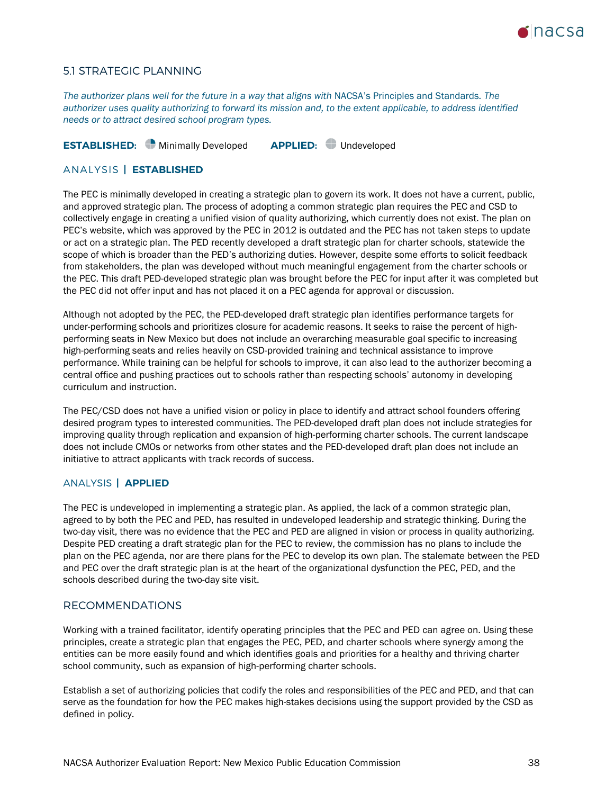

### 5.1 STRATEGIC PLANNING

*The authorizer plans well for the future in a way that aligns with* NACSA's Principles and Standards*. The authorizer uses quality authorizing to forward its mission and, to the extent applicable, to address identified needs or to attract desired school program types.*

**ESTABLISHED:** Minimally Developed **APPLIED:** Undeveloped

### ANALYSIS **| ESTABLISHED**

The PEC is minimally developed in creating a strategic plan to govern its work. It does not have a current, public, and approved strategic plan. The process of adopting a common strategic plan requires the PEC and CSD to collectively engage in creating a unified vision of quality authorizing, which currently does not exist. The plan on PEC's website, which was approved by the PEC in 2012 is outdated and the PEC has not taken steps to update or act on a strategic plan. The PED recently developed a draft strategic plan for charter schools, statewide the scope of which is broader than the PED's authorizing duties. However, despite some efforts to solicit feedback from stakeholders, the plan was developed without much meaningful engagement from the charter schools or the PEC. This draft PED-developed strategic plan was brought before the PEC for input after it was completed but the PEC did not offer input and has not placed it on a PEC agenda for approval or discussion.

Although not adopted by the PEC, the PED-developed draft strategic plan identifies performance targets for under-performing schools and prioritizes closure for academic reasons. It seeks to raise the percent of highperforming seats in New Mexico but does not include an overarching measurable goal specific to increasing high-performing seats and relies heavily on CSD-provided training and technical assistance to improve performance. While training can be helpful for schools to improve, it can also lead to the authorizer becoming a central office and pushing practices out to schools rather than respecting schools' autonomy in developing curriculum and instruction.

The PEC/CSD does not have a unified vision or policy in place to identify and attract school founders offering desired program types to interested communities. The PED-developed draft plan does not include strategies for improving quality through replication and expansion of high-performing charter schools. The current landscape does not include CMOs or networks from other states and the PED-developed draft plan does not include an initiative to attract applicants with track records of success.

### ANALYSIS **| APPLIED**

The PEC is undeveloped in implementing a strategic plan. As applied, the lack of a common strategic plan, agreed to by both the PEC and PED, has resulted in undeveloped leadership and strategic thinking. During the two-day visit, there was no evidence that the PEC and PED are aligned in vision or process in quality authorizing. Despite PED creating a draft strategic plan for the PEC to review, the commission has no plans to include the plan on the PEC agenda, nor are there plans for the PEC to develop its own plan. The stalemate between the PED and PEC over the draft strategic plan is at the heart of the organizational dysfunction the PEC, PED, and the schools described during the two-day site visit.

### RECOMMENDATIONS

Working with a trained facilitator, identify operating principles that the PEC and PED can agree on. Using these principles, create a strategic plan that engages the PEC, PED, and charter schools where synergy among the entities can be more easily found and which identifies goals and priorities for a healthy and thriving charter school community, such as expansion of high-performing charter schools.

Establish a set of authorizing policies that codify the roles and responsibilities of the PEC and PED, and that can serve as the foundation for how the PEC makes high-stakes decisions using the support provided by the CSD as defined in policy.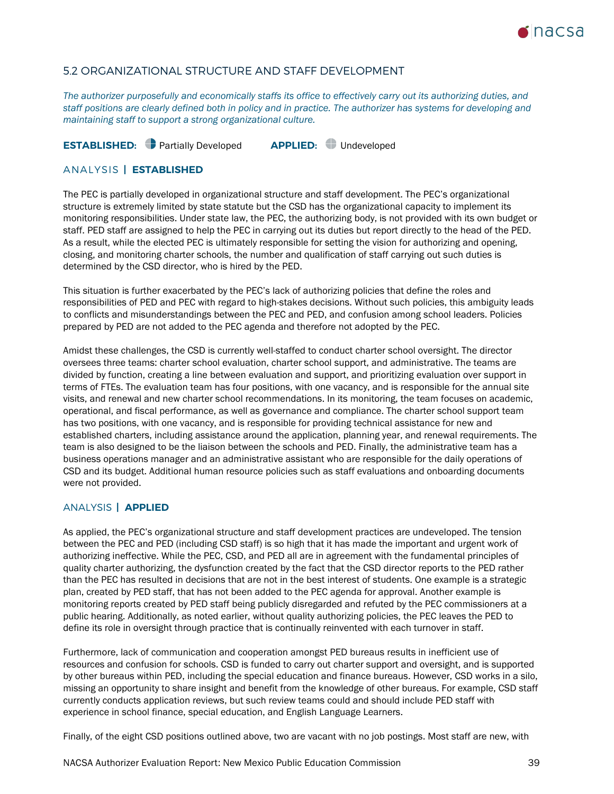

# 5.2 ORGANIZATIONAL STRUCTURE AND STAFF DEVELOPMENT

*The authorizer purposefully and economically staffs its office to effectively carry out its authorizing duties, and staff positions are clearly defined both in policy and in practice. The authorizer has systems for developing and maintaining staff to support a strong organizational culture.* 

**ESTABLISHED:** Partially Developed **APPLIED:** Undeveloped

### ANALYSIS **| ESTABLISHED**

The PEC is partially developed in organizational structure and staff development. The PEC's organizational structure is extremely limited by state statute but the CSD has the organizational capacity to implement its monitoring responsibilities. Under state law, the PEC, the authorizing body, is not provided with its own budget or staff. PED staff are assigned to help the PEC in carrying out its duties but report directly to the head of the PED. As a result, while the elected PEC is ultimately responsible for setting the vision for authorizing and opening, closing, and monitoring charter schools, the number and qualification of staff carrying out such duties is determined by the CSD director, who is hired by the PED.

This situation is further exacerbated by the PEC's lack of authorizing policies that define the roles and responsibilities of PED and PEC with regard to high-stakes decisions. Without such policies, this ambiguity leads to conflicts and misunderstandings between the PEC and PED, and confusion among school leaders. Policies prepared by PED are not added to the PEC agenda and therefore not adopted by the PEC.

Amidst these challenges, the CSD is currently well-staffed to conduct charter school oversight. The director oversees three teams: charter school evaluation, charter school support, and administrative. The teams are divided by function, creating a line between evaluation and support, and prioritizing evaluation over support in terms of FTEs. The evaluation team has four positions, with one vacancy, and is responsible for the annual site visits, and renewal and new charter school recommendations. In its monitoring, the team focuses on academic, operational, and fiscal performance, as well as governance and compliance. The charter school support team has two positions, with one vacancy, and is responsible for providing technical assistance for new and established charters, including assistance around the application, planning year, and renewal requirements. The team is also designed to be the liaison between the schools and PED. Finally, the administrative team has a business operations manager and an administrative assistant who are responsible for the daily operations of CSD and its budget. Additional human resource policies such as staff evaluations and onboarding documents were not provided.

### ANALYSIS **| APPLIED**

As applied, the PEC's organizational structure and staff development practices are undeveloped. The tension between the PEC and PED (including CSD staff) is so high that it has made the important and urgent work of authorizing ineffective. While the PEC, CSD, and PED all are in agreement with the fundamental principles of quality charter authorizing, the dysfunction created by the fact that the CSD director reports to the PED rather than the PEC has resulted in decisions that are not in the best interest of students. One example is a strategic plan, created by PED staff, that has not been added to the PEC agenda for approval. Another example is monitoring reports created by PED staff being publicly disregarded and refuted by the PEC commissioners at a public hearing. Additionally, as noted earlier, without quality authorizing policies, the PEC leaves the PED to define its role in oversight through practice that is continually reinvented with each turnover in staff.

Furthermore, lack of communication and cooperation amongst PED bureaus results in inefficient use of resources and confusion for schools. CSD is funded to carry out charter support and oversight, and is supported by other bureaus within PED, including the special education and finance bureaus. However, CSD works in a silo, missing an opportunity to share insight and benefit from the knowledge of other bureaus. For example, CSD staff currently conducts application reviews, but such review teams could and should include PED staff with experience in school finance, special education, and English Language Learners.

Finally, of the eight CSD positions outlined above, two are vacant with no job postings. Most staff are new, with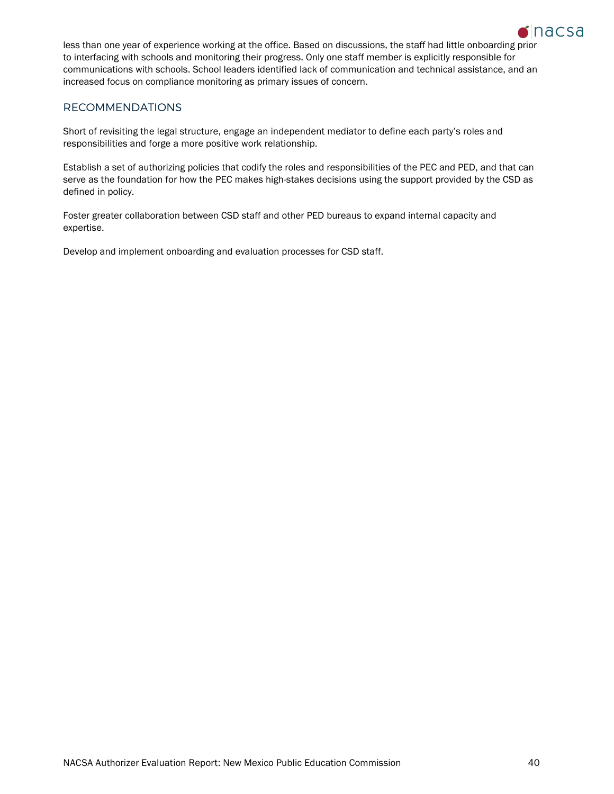

less than one year of experience working at the office. Based on discussions, the staff had little onboarding prior to interfacing with schools and monitoring their progress. Only one staff member is explicitly responsible for communications with schools. School leaders identified lack of communication and technical assistance, and an increased focus on compliance monitoring as primary issues of concern.

# RECOMMENDATIONS

Short of revisiting the legal structure, engage an independent mediator to define each party's roles and responsibilities and forge a more positive work relationship.

Establish a set of authorizing policies that codify the roles and responsibilities of the PEC and PED, and that can serve as the foundation for how the PEC makes high-stakes decisions using the support provided by the CSD as defined in policy.

Foster greater collaboration between CSD staff and other PED bureaus to expand internal capacity and expertise.

Develop and implement onboarding and evaluation processes for CSD staff.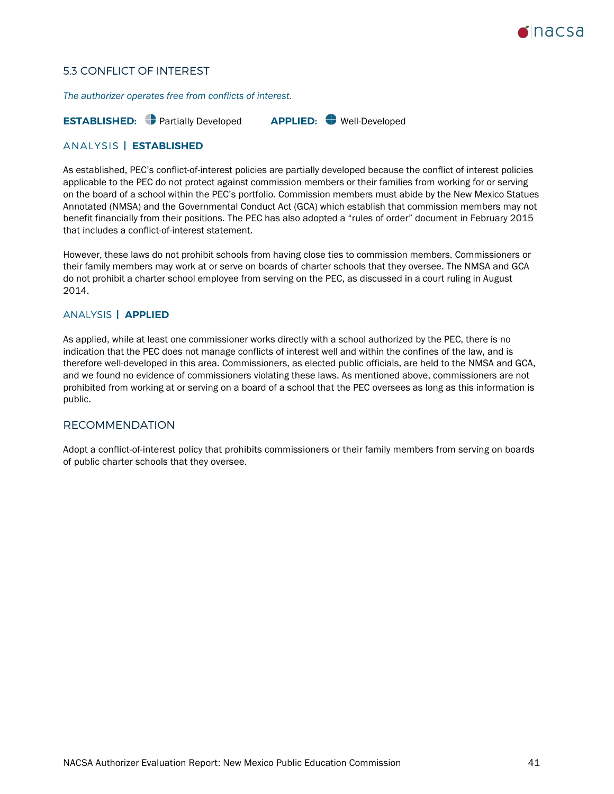

# 5.3 CONFLICT OF INTEREST

*The authorizer operates free from conflicts of interest.*

### **ESTABLISHED:** Partially Developed **APPLIED:** Well-Developed

## ANALYSIS **| ESTABLISHED**

As established, PEC's conflict-of-interest policies are partially developed because the conflict of interest policies applicable to the PEC do not protect against commission members or their families from working for or serving on the board of a school within the PEC's portfolio. Commission members must abide by the New Mexico Statues Annotated (NMSA) and the Governmental Conduct Act (GCA) which establish that commission members may not benefit financially from their positions. The PEC has also adopted a "rules of order" document in February 2015 that includes a conflict-of-interest statement.

However, these laws do not prohibit schools from having close ties to commission members. Commissioners or their family members may work at or serve on boards of charter schools that they oversee. The NMSA and GCA do not prohibit a charter school employee from serving on the PEC, as discussed in a court ruling in August 2014.

### ANALYSIS **| APPLIED**

As applied, while at least one commissioner works directly with a school authorized by the PEC, there is no indication that the PEC does not manage conflicts of interest well and within the confines of the law, and is therefore well-developed in this area. Commissioners, as elected public officials, are held to the NMSA and GCA, and we found no evidence of commissioners violating these laws. As mentioned above, commissioners are not prohibited from working at or serving on a board of a school that the PEC oversees as long as this information is public.

### RECOMMENDATION

Adopt a conflict-of-interest policy that prohibits commissioners or their family members from serving on boards of public charter schools that they oversee.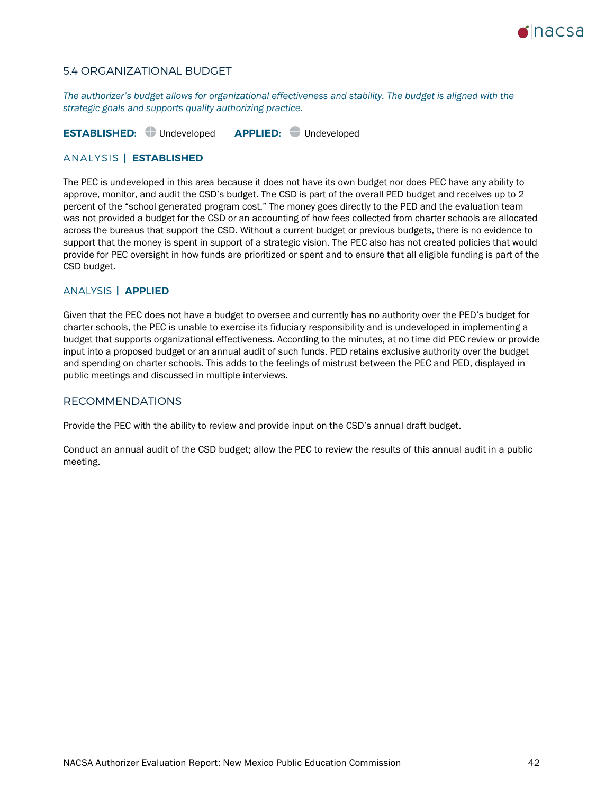

# 5.4 ORGANIZATIONAL BUDGET

*The authorizer's budget allows for organizational effectiveness and stability. The budget is aligned with the strategic goals and supports quality authorizing practice.*

**ESTABLISHED:** Undeveloped **APPLIED:** Undeveloped

### ANALYSIS **| ESTABLISHED**

The PEC is undeveloped in this area because it does not have its own budget nor does PEC have any ability to approve, monitor, and audit the CSD's budget. The CSD is part of the overall PED budget and receives up to 2 percent of the "school generated program cost." The money goes directly to the PED and the evaluation team was not provided a budget for the CSD or an accounting of how fees collected from charter schools are allocated across the bureaus that support the CSD. Without a current budget or previous budgets, there is no evidence to support that the money is spent in support of a strategic vision. The PEC also has not created policies that would provide for PEC oversight in how funds are prioritized or spent and to ensure that all eligible funding is part of the CSD budget.

### ANALYSIS **| APPLIED**

Given that the PEC does not have a budget to oversee and currently has no authority over the PED's budget for charter schools, the PEC is unable to exercise its fiduciary responsibility and is undeveloped in implementing a budget that supports organizational effectiveness. According to the minutes, at no time did PEC review or provide input into a proposed budget or an annual audit of such funds. PED retains exclusive authority over the budget and spending on charter schools. This adds to the feelings of mistrust between the PEC and PED, displayed in public meetings and discussed in multiple interviews.

### RECOMMENDATIONS

Provide the PEC with the ability to review and provide input on the CSD's annual draft budget.

Conduct an annual audit of the CSD budget; allow the PEC to review the results of this annual audit in a public meeting.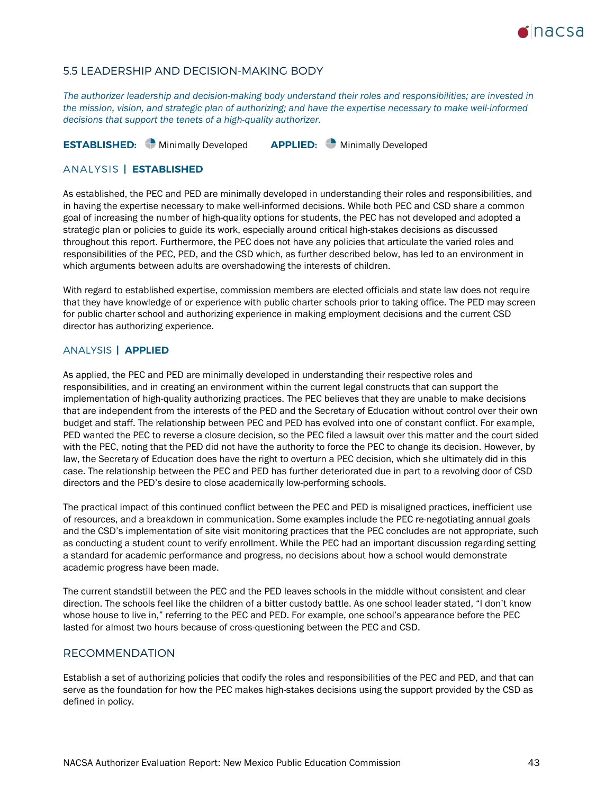

### 5.5 LEADERSHIP AND DECISION-MAKING BODY

*The authorizer leadership and decision-making body understand their roles and responsibilities; are invested in the mission, vision, and strategic plan of authorizing; and have the expertise necessary to make well-informed decisions that support the tenets of a high-quality authorizer.*

**ESTABLISHED:** Minimally Developed **APPLIED:** Minimally Developed

### ANALYSIS **| ESTABLISHED**

As established, the PEC and PED are minimally developed in understanding their roles and responsibilities, and in having the expertise necessary to make well-informed decisions. While both PEC and CSD share a common goal of increasing the number of high-quality options for students, the PEC has not developed and adopted a strategic plan or policies to guide its work, especially around critical high-stakes decisions as discussed throughout this report. Furthermore, the PEC does not have any policies that articulate the varied roles and responsibilities of the PEC, PED, and the CSD which, as further described below, has led to an environment in which arguments between adults are overshadowing the interests of children.

With regard to established expertise, commission members are elected officials and state law does not require that they have knowledge of or experience with public charter schools prior to taking office. The PED may screen for public charter school and authorizing experience in making employment decisions and the current CSD director has authorizing experience.

### ANALYSIS **| APPLIED**

As applied, the PEC and PED are minimally developed in understanding their respective roles and responsibilities, and in creating an environment within the current legal constructs that can support the implementation of high-quality authorizing practices. The PEC believes that they are unable to make decisions that are independent from the interests of the PED and the Secretary of Education without control over their own budget and staff. The relationship between PEC and PED has evolved into one of constant conflict. For example, PED wanted the PEC to reverse a closure decision, so the PEC filed a lawsuit over this matter and the court sided with the PEC, noting that the PED did not have the authority to force the PEC to change its decision. However, by law, the Secretary of Education does have the right to overturn a PEC decision, which she ultimately did in this case. The relationship between the PEC and PED has further deteriorated due in part to a revolving door of CSD directors and the PED's desire to close academically low-performing schools.

The practical impact of this continued conflict between the PEC and PED is misaligned practices, inefficient use of resources, and a breakdown in communication. Some examples include the PEC re-negotiating annual goals and the CSD's implementation of site visit monitoring practices that the PEC concludes are not appropriate, such as conducting a student count to verify enrollment. While the PEC had an important discussion regarding setting a standard for academic performance and progress, no decisions about how a school would demonstrate academic progress have been made.

The current standstill between the PEC and the PED leaves schools in the middle without consistent and clear direction. The schools feel like the children of a bitter custody battle. As one school leader stated, "I don't know whose house to live in," referring to the PEC and PED. For example, one school's appearance before the PEC lasted for almost two hours because of cross-questioning between the PEC and CSD.

### RECOMMENDATION

Establish a set of authorizing policies that codify the roles and responsibilities of the PEC and PED, and that can serve as the foundation for how the PEC makes high-stakes decisions using the support provided by the CSD as defined in policy.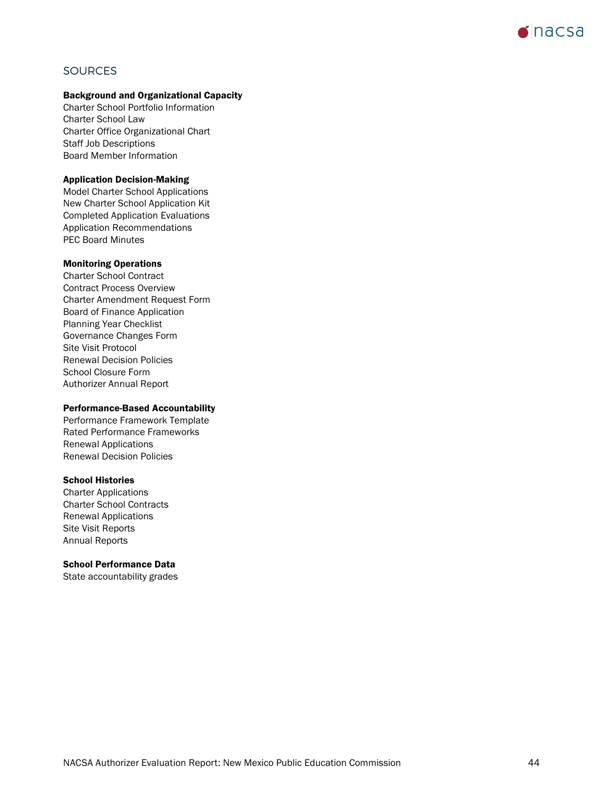

# <span id="page-43-0"></span>**SOURCES**

### Background and Organizational Capacity

Charter School Portfolio Information Charter School Law Charter Office Organizational Chart Staff Job Descriptions Board Member Information

#### Application Decision-Making

Model Charter School Applications New Charter School Application Kit Completed Application Evaluations Application Recommendations PEC Board Minutes

#### Monitoring Operations

Charter School Contract Contract Process Overview Charter Amendment Request Form Board of Finance Application Planning Year Checklist Governance Changes Form Site Visit Protocol Renewal Decision Policies School Closure Form Authorizer Annual Report

#### Performance-Based Accountability

Performance Framework Template Rated Performance Frameworks Renewal Applications Renewal Decision Policies

#### School Histories

Charter Applications Charter School Contracts Renewal Applications Site Visit Reports Annual Reports

### School Performance Data

State accountability grades